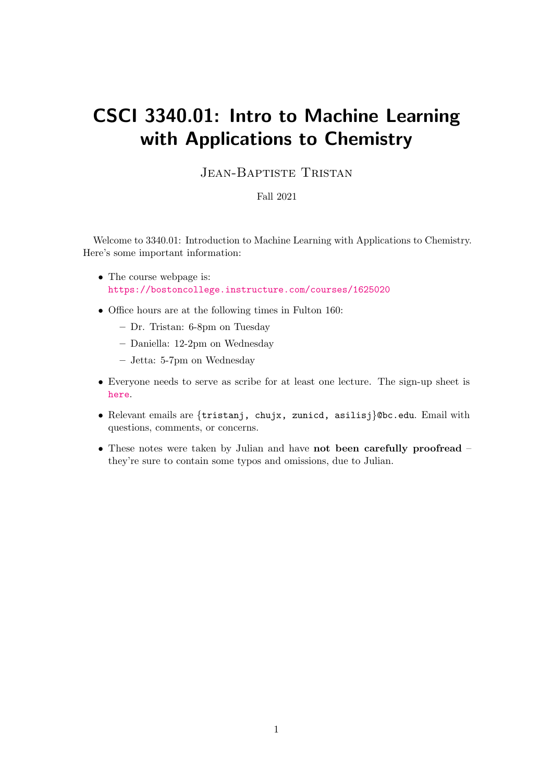# CSCI 3340.01: Intro to Machine Learning with Applications to Chemistry

# JEAN-BAPTISTE TRISTAN

# Fall 2021

Welcome to 3340.01: Introduction to Machine Learning with Applications to Chemistry. Here's some important information:

- The course webpage is: <https://bostoncollege.instructure.com/courses/1625020>
- Office hours are at the following times in Fulton 160:
	- Dr. Tristan: 6-8pm on Tuesday
	- Daniella: 12-2pm on Wednesday
	- Jetta: 5-7pm on Wednesday
- Everyone needs to serve as scribe for at least one lecture. The sign-up sheet is [here](https://docs.google.com/spreadsheets/d/12OpJBFgdPH2m6lh6dXfyi4L6ysJk4w57tiYS54IOY-c/edit#gid=0).
- Relevant emails are {tristanj, chujx, zunicd, asilisj}@bc.edu. Email with questions, comments, or concerns.
- These notes were taken by Julian and have not been carefully proofread they're sure to contain some typos and omissions, due to Julian.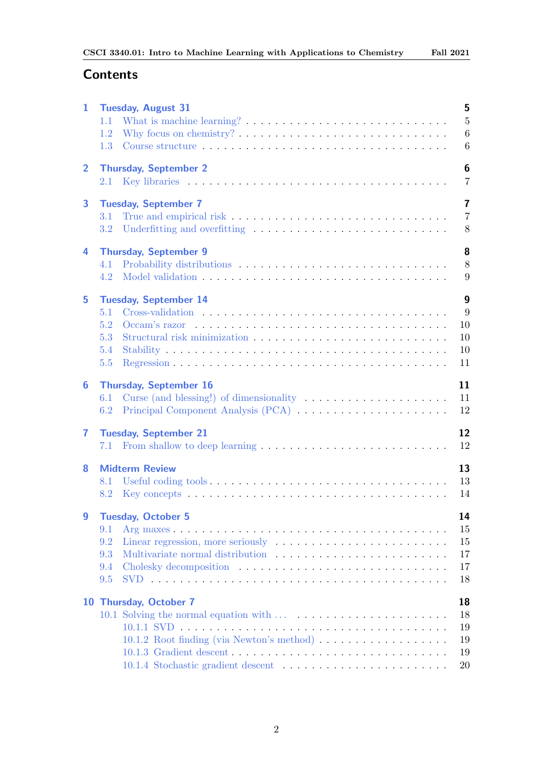# **Contents**

| 1              | 5<br><b>Tuesday, August 31</b>                                                                                           |
|----------------|--------------------------------------------------------------------------------------------------------------------------|
|                | $\overline{5}$<br>What is machine learning? $\dots \dots \dots \dots \dots \dots \dots \dots \dots \dots$<br>1.1         |
|                | Why focus on chemistry? $\dots \dots \dots \dots \dots \dots \dots \dots \dots \dots \dots$<br>6<br>1.2                  |
|                | $\,6$<br>1.3                                                                                                             |
| $\overline{2}$ | 6<br><b>Thursday, September 2</b>                                                                                        |
|                | 7<br>2.1                                                                                                                 |
|                |                                                                                                                          |
| 3              | $\overline{7}$<br><b>Tuesday, September 7</b>                                                                            |
|                | $\overline{7}$<br>3.1                                                                                                    |
|                | 3.2<br>8                                                                                                                 |
| 4              | 8<br><b>Thursday, September 9</b>                                                                                        |
|                | 8<br>4.1                                                                                                                 |
|                | 9<br>4.2                                                                                                                 |
| 5              | 9<br><b>Tuesday, September 14</b>                                                                                        |
|                | $Cross-validation \dots \dots \dots \dots \dots \dots \dots \dots \dots \dots \dots \dots \dots \dots \dots$<br>9<br>5.1 |
|                | 5.2<br>10<br>Occam's razor $\dots \dots \dots \dots \dots \dots \dots \dots \dots \dots \dots \dots \dots \dots$         |
|                | 10<br>5.3                                                                                                                |
|                | 5.4<br>10                                                                                                                |
|                | 11<br>5.5                                                                                                                |
| 6              | 11<br><b>Thursday, September 16</b>                                                                                      |
|                | 11<br>Curse (and blessing!) of dimensionality $\dots \dots \dots \dots \dots \dots \dots$<br>6.1                         |
|                | Principal Component Analysis (PCA)<br>12<br>6.2                                                                          |
|                |                                                                                                                          |
| 7              | 12<br><b>Tuesday, September 21</b>                                                                                       |
|                | 12<br>7.1                                                                                                                |
| 8              | 13<br><b>Midterm Review</b>                                                                                              |
|                | 13<br>8.1                                                                                                                |
|                | 14<br>Key concepts $\dots \dots \dots \dots \dots \dots \dots \dots \dots \dots \dots \dots \dots$<br>8.2                |
| 9              | <b>Tuesday, October 5</b><br>14                                                                                          |
|                | 9.1<br>15                                                                                                                |
|                | 9.2<br>Linear regression, more seriously $\dots \dots \dots \dots \dots \dots \dots \dots$<br>15                         |
|                | 9.3<br>17                                                                                                                |
|                | 17<br>9.4                                                                                                                |
|                | 18<br>9.5                                                                                                                |
|                | 18<br>10 Thursday, October 7                                                                                             |
|                | 18                                                                                                                       |
|                | 19                                                                                                                       |
|                | 10.1.2 Root finding (via Newton's method)<br>19                                                                          |
|                | 19                                                                                                                       |
|                | 20                                                                                                                       |
|                |                                                                                                                          |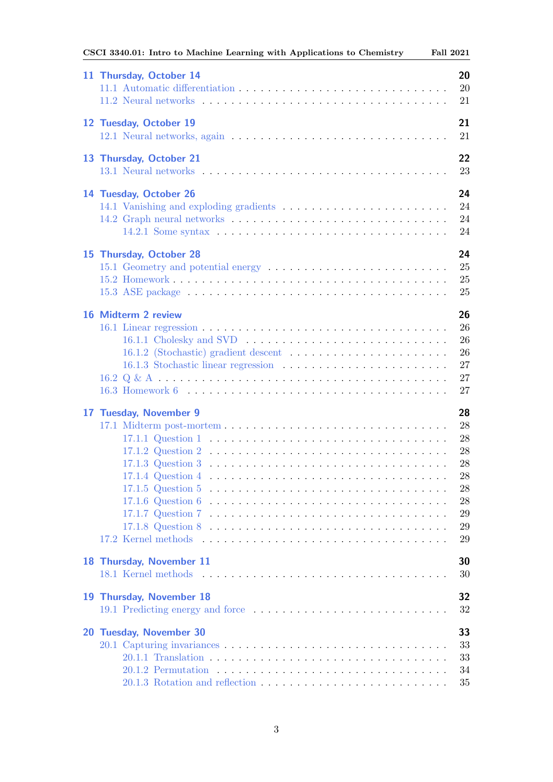| CSCI 3340.01: Intro to Machine Learning with Applications to Chemistry | <b>Fall 2021</b> |
|------------------------------------------------------------------------|------------------|
| 11 Thursday, October 14                                                | 20               |
|                                                                        | 20               |
|                                                                        | 21               |
|                                                                        |                  |
| 12 Tuesday, October 19                                                 | 21               |
|                                                                        | 21               |
|                                                                        |                  |
| 13 Thursday, October 21                                                | 22               |
|                                                                        | 23               |
|                                                                        |                  |
| 14 Tuesday, October 26                                                 | 24               |
|                                                                        | 24               |
|                                                                        | 24               |
|                                                                        | 24               |
|                                                                        |                  |
| 15 Thursday, October 28                                                | 24               |
|                                                                        | 25               |
|                                                                        | 25               |
|                                                                        |                  |
|                                                                        | 25               |
| 16 Midterm 2 review                                                    | 26               |
|                                                                        | 26               |
|                                                                        |                  |
|                                                                        | 26               |
|                                                                        | 26               |
|                                                                        | 27               |
|                                                                        | 27               |
|                                                                        | 27               |
|                                                                        |                  |
| 17 Tuesday, November 9                                                 | 28               |
| 17.1 Midterm post-mortem                                               | 28               |
|                                                                        | 28               |
|                                                                        | 28               |
| $17.1.3$ Question 3                                                    | 28               |
|                                                                        | 28               |
|                                                                        | 28               |
|                                                                        | 28               |
|                                                                        | 29               |
|                                                                        | 29               |
|                                                                        |                  |
|                                                                        | 29               |
| 18 Thursday, November 11                                               | 30               |
|                                                                        | 30               |
|                                                                        |                  |
| 19 Thursday, November 18                                               | 32               |
|                                                                        | 32               |
|                                                                        |                  |
| 20 Tuesday, November 30                                                | 33               |
|                                                                        |                  |
|                                                                        | 33               |
|                                                                        | 33               |
|                                                                        | 34               |
|                                                                        | 35               |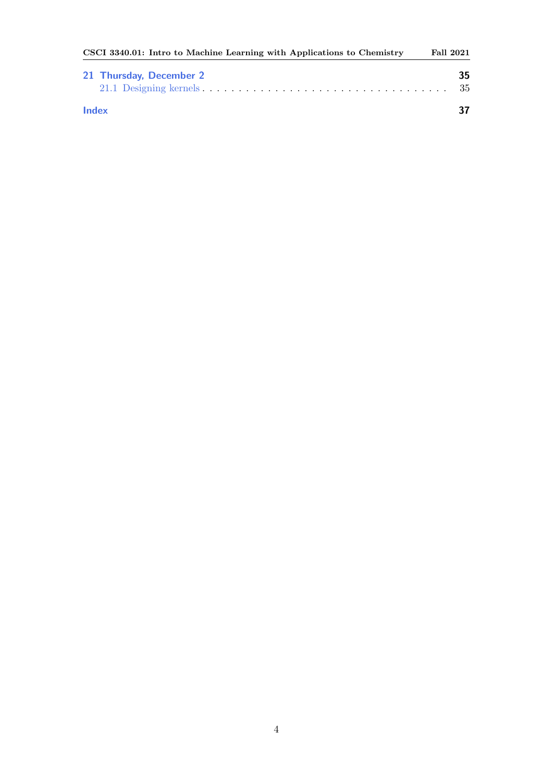| CSCI 3340.01: Intro to Machine Learning with Applications to Chemistry | Fall 2021 |
|------------------------------------------------------------------------|-----------|
| 21 Thursday, December 2                                                | 35.       |
|                                                                        | -35       |
| <b>Index</b>                                                           |           |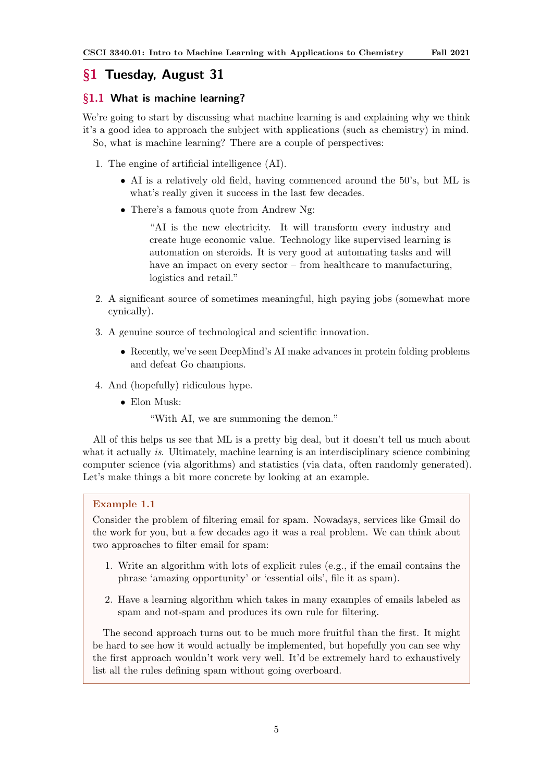# <span id="page-4-0"></span>§1 Tuesday, August 31

# <span id="page-4-1"></span>§1.1 What is machine learning?

We're going to start by discussing what machine learning is and explaining why we think it's a good idea to approach the subject with applications (such as chemistry) in mind. So, what is machine learning? There are a couple of perspectives:

- 1. The engine of artificial intelligence (AI).
	- AI is a relatively old field, having commenced around the 50's, but ML is what's really given it success in the last few decades.
	- There's a famous quote from Andrew Ng:

"AI is the new electricity. It will transform every industry and create huge economic value. Technology like supervised learning is automation on steroids. It is very good at automating tasks and will have an impact on every sector – from healthcare to manufacturing, logistics and retail."

- 2. A significant source of sometimes meaningful, high paying jobs (somewhat more cynically).
- 3. A genuine source of technological and scientific innovation.
	- Recently, we've seen DeepMind's AI make advances in protein folding problems and defeat Go champions.
- 4. And (hopefully) ridiculous hype.
	- Elon Musk:

"With AI, we are summoning the demon."

All of this helps us see that ML is a pretty big deal, but it doesn't tell us much about what it actually is. Ultimately, machine learning is an interdisciplinary science combining computer science (via algorithms) and statistics (via data, often randomly generated). Let's make things a bit more concrete by looking at an example.

# Example 1.1

Consider the problem of filtering email for spam. Nowadays, services like Gmail do the work for you, but a few decades ago it was a real problem. We can think about two approaches to filter email for spam:

- 1. Write an algorithm with lots of explicit rules (e.g., if the email contains the phrase 'amazing opportunity' or 'essential oils', file it as spam).
- 2. Have a learning algorithm which takes in many examples of emails labeled as spam and not-spam and produces its own rule for filtering.

The second approach turns out to be much more fruitful than the first. It might be hard to see how it would actually be implemented, but hopefully you can see why the first approach wouldn't work very well. It'd be extremely hard to exhaustively list all the rules defining spam without going overboard.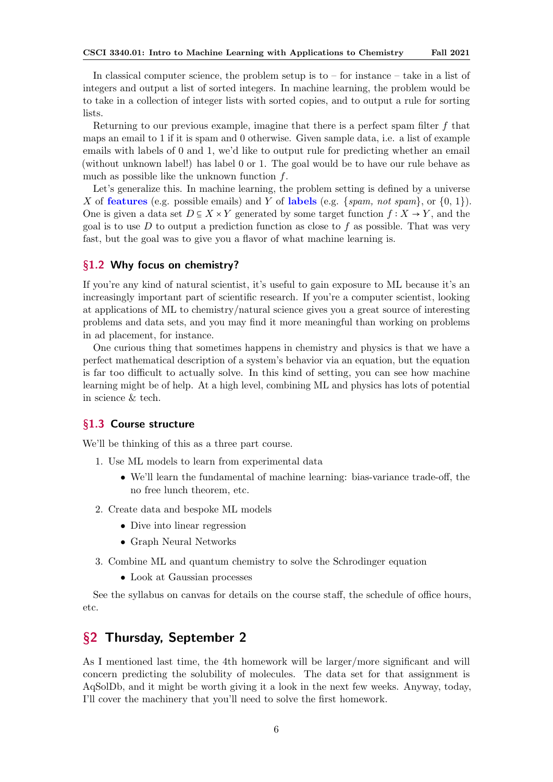<span id="page-5-3"></span>In classical computer science, the problem setup is to – for instance – take in a list of integers and output a list of sorted integers. In machine learning, the problem would be to take in a collection of integer lists with sorted copies, and to output a rule for sorting lists.

Returning to our previous example, imagine that there is a perfect spam filter  $f$  that maps an email to 1 if it is spam and 0 otherwise. Given sample data, i.e. a list of example emails with labels of 0 and 1, we'd like to output rule for predicting whether an email (without unknown label!) has label 0 or 1. The goal would be to have our rule behave as much as possible like the unknown function  $f$ .

Let's generalize this. In machine learning, the problem setting is defined by a universe X of **features** (e.g. possible emails) and Y of labels (e.g. {spam, not spam}, or  $\{0, 1\}$ ). One is given a data set  $D \subseteq X \times Y$  generated by some target function  $f : X \to Y$ , and the goal is to use  $D$  to output a prediction function as close to f as possible. That was very fast, but the goal was to give you a flavor of what machine learning is.

# <span id="page-5-0"></span>§1.2 Why focus on chemistry?

If you're any kind of natural scientist, it's useful to gain exposure to ML because it's an increasingly important part of scientific research. If you're a computer scientist, looking at applications of ML to chemistry/natural science gives you a great source of interesting problems and data sets, and you may find it more meaningful than working on problems in ad placement, for instance.

One curious thing that sometimes happens in chemistry and physics is that we have a perfect mathematical description of a system's behavior via an equation, but the equation is far too difficult to actually solve. In this kind of setting, you can see how machine learning might be of help. At a high level, combining ML and physics has lots of potential in science & tech.

# <span id="page-5-1"></span>§1.3 Course structure

We'll be thinking of this as a three part course.

- 1. Use ML models to learn from experimental data
	- We'll learn the fundamental of machine learning: bias-variance trade-off, the no free lunch theorem, etc.
- 2. Create data and bespoke ML models
	- Dive into linear regression
	- Graph Neural Networks
- 3. Combine ML and quantum chemistry to solve the Schrodinger equation
	- Look at Gaussian processes

See the syllabus on canvas for details on the course staff, the schedule of office hours, etc.

# <span id="page-5-2"></span>§2 Thursday, September 2

As I mentioned last time, the 4th homework will be larger/more significant and will concern predicting the solubility of molecules. The data set for that assignment is AqSolDb, and it might be worth giving it a look in the next few weeks. Anyway, today, I'll cover the machinery that you'll need to solve the first homework.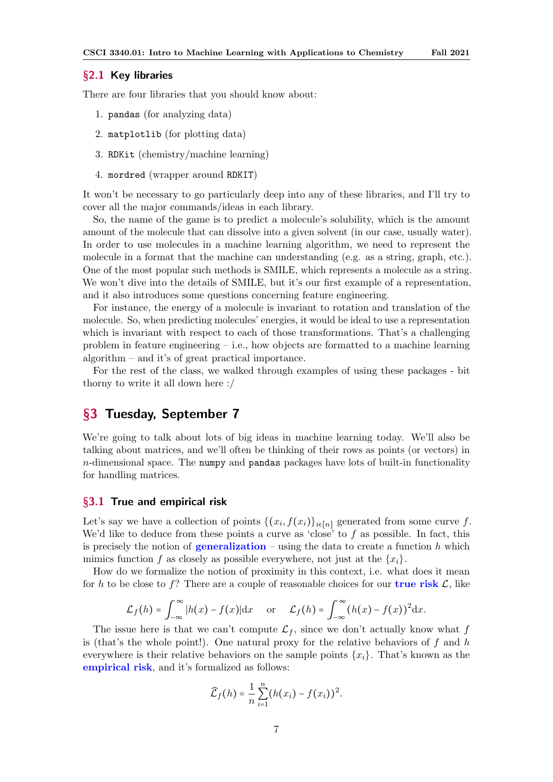#### <span id="page-6-3"></span><span id="page-6-0"></span>§2.1 Key libraries

There are four libraries that you should know about:

- 1. pandas (for analyzing data)
- 2. matplotlib (for plotting data)
- 3. RDKit (chemistry/machine learning)
- 4. mordred (wrapper around RDKIT)

It won't be necessary to go particularly deep into any of these libraries, and I'll try to cover all the major commands/ideas in each library.

So, the name of the game is to predict a molecule's solubility, which is the amount amount of the molecule that can dissolve into a given solvent (in our case, usually water). In order to use molecules in a machine learning algorithm, we need to represent the molecule in a format that the machine can understanding (e.g. as a string, graph, etc.). One of the most popular such methods is SMILE, which represents a molecule as a string. We won't dive into the details of SMILE, but it's our first example of a representation, and it also introduces some questions concerning feature engineering.

For instance, the energy of a molecule is invariant to rotation and translation of the molecule. So, when predicting molecules' energies, it would be ideal to use a representation which is invariant with respect to each of those transformations. That's a challenging problem in feature engineering  $-$  i.e., how objects are formatted to a machine learning algorithm – and it's of great practical importance.

For the rest of the class, we walked through examples of using these packages - bit thorny to write it all down here :/

# <span id="page-6-1"></span>§3 Tuesday, September 7

We're going to talk about lots of big ideas in machine learning today. We'll also be talking about matrices, and we'll often be thinking of their rows as points (or vectors) in  $n$ -dimensional space. The numpy and pandas packages have lots of built-in functionality for handling matrices.

#### <span id="page-6-2"></span>§3.1 True and empirical risk

Let's say we have a collection of points  $\{(x_i, f(x_i)\}_{i \in [n]}$  generated from some curve f. We'd like to deduce from these points a curve as 'close' to  $f$  as possible. In fact, this is precisely the notion of **generalization** – using the data to create a function h which mimics function f as closely as possible everywhere, not just at the  $\{x_i\}$ .

How do we formalize the notion of proximity in this context, i.e. what does it mean for h to be close to f? There are a couple of reasonable choices for our **true risk**  $\mathcal{L}$ , like

$$
\mathcal{L}_f(h) = \int_{-\infty}^{\infty} |h(x) - f(x)| dx \quad \text{or} \quad \mathcal{L}_f(h) = \int_{-\infty}^{\infty} (h(x) - f(x))^2 dx.
$$

The issue here is that we can't compute  $\mathcal{L}_f$ , since we don't actually know what f is (that's the whole point!). One natural proxy for the relative behaviors of f and h everywhere is their relative behaviors on the sample points  $\{x_i\}$ . That's known as the empirical risk, and it's formalized as follows:

$$
\widehat{\mathcal{L}}_f(h)=\frac{1}{n}\sum_{i=1}^n (h(x_i)-f(x_i))^2.
$$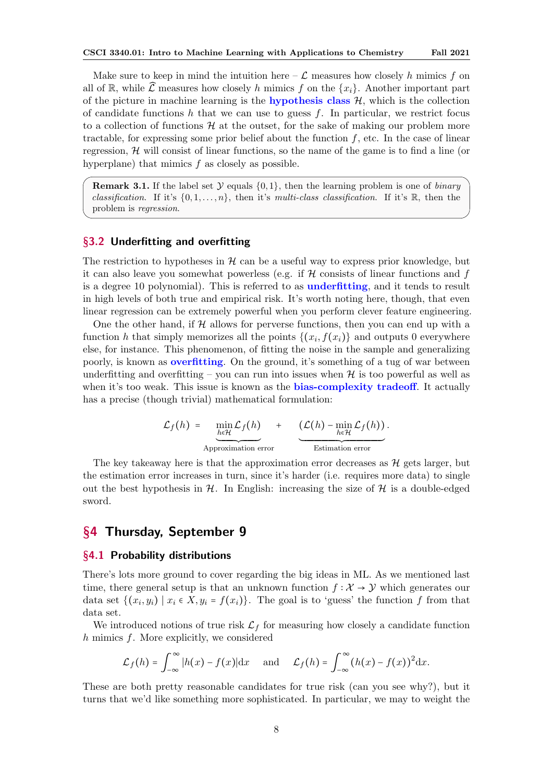<span id="page-7-3"></span>Make sure to keep in mind the intuition here  $-\mathcal{L}$  measures how closely h mimics f on all of R, while  $\hat{\mathcal{L}}$  measures how closely h mimics f on the  $\{x_i\}$ . Another important part of the picture in machine learning is the **hypothesis class**  $H$ , which is the collection of candidate functions h that we can use to guess f. In particular, we restrict focus to a collection of functions  $H$  at the outset, for the sake of making our problem more tractable, for expressing some prior belief about the function  $f$ , etc. In the case of linear regression,  $\mathcal H$  will consist of linear functions, so the name of the game is to find a line (or hyperplane) that mimics f as closely as possible.

**Remark 3.1.** If the label set  $\mathcal Y$  equals  $\{0,1\}$ , then the learning problem is one of binary classification. If it's  $\{0, 1, \ldots, n\}$ , then it's multi-class classification. If it's R, then the problem is regression.

# <span id="page-7-0"></span>§3.2 Underfitting and overfitting

The restriction to hypotheses in  $H$  can be a useful way to express prior knowledge, but it can also leave you somewhat powerless (e.g. if  $H$  consists of linear functions and f is a degree 10 polynomial). This is referred to as underfitting, and it tends to result in high levels of both true and empirical risk. It's worth noting here, though, that even linear regression can be extremely powerful when you perform clever feature engineering.

One the other hand, if  $H$  allows for perverse functions, then you can end up with a function h that simply memorizes all the points  $\{(x_i, f(x_i)\}\)$  and outputs 0 everywhere else, for instance. This phenomenon, of fitting the noise in the sample and generalizing poorly, is known as **overfitting**. On the ground, it's something of a tug of war between underfitting and overfitting – you can run into issues when  $\mathcal{H}$  is too powerful as well as when it's too weak. This issue is known as the **bias-complexity tradeoff**. It actually has a precise (though trivial) mathematical formulation:

$$
\mathcal{L}_f(h) = \underbrace{\min_{h \in \mathcal{H}} \mathcal{L}_f(h)}_{\text{Approximation error}} + \underbrace{(\mathcal{L}(h) - \min_{h \in \mathcal{H}} \mathcal{L}_f(h))}_{\text{Estimation error}}.
$$

The key takeaway here is that the approximation error decreases as  $\mathcal{H}$  gets larger, but the estimation error increases in turn, since it's harder (i.e. requires more data) to single out the best hypothesis in  $\mathcal{H}$ . In English: increasing the size of  $\mathcal{H}$  is a double-edged sword.

# <span id="page-7-1"></span>§4 Thursday, September 9

# <span id="page-7-2"></span>§4.1 Probability distributions

There's lots more ground to cover regarding the big ideas in ML. As we mentioned last time, there general setup is that an unknown function  $f: \mathcal{X} \to \mathcal{Y}$  which generates our data set  $\{(x_i, y_i) \mid x_i \in X, y_i = f(x_i)\}\.$  The goal is to 'guess' the function f from that data set.

We introduced notions of true risk  $\mathcal{L}_f$  for measuring how closely a candidate function h mimics f. More explicitly, we considered

$$
\mathcal{L}_f(h) = \int_{-\infty}^{\infty} |h(x) - f(x)| dx \quad \text{and} \quad \mathcal{L}_f(h) = \int_{-\infty}^{\infty} (h(x) - f(x))^2 dx.
$$

These are both pretty reasonable candidates for true risk (can you see why?), but it turns that we'd like something more sophisticated. In particular, we may to weight the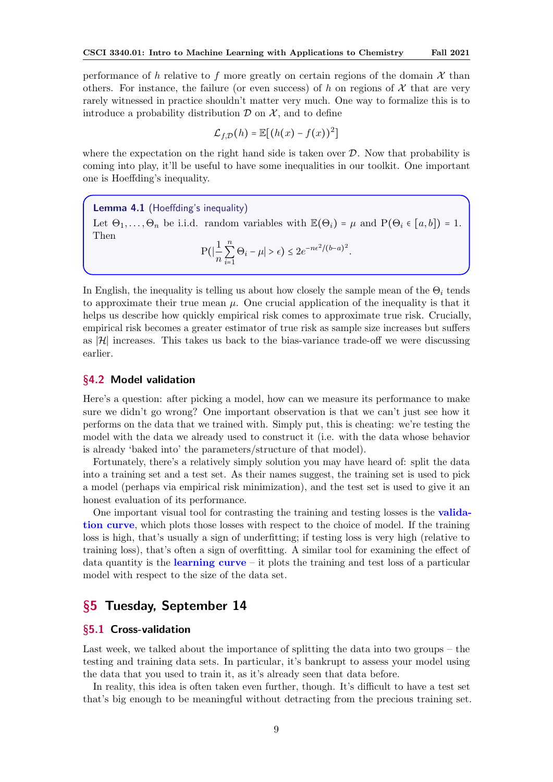<span id="page-8-3"></span>performance of h relative to f more greatly on certain regions of the domain  $\mathcal X$  than others. For instance, the failure (or even success) of h on regions of  $\mathcal X$  that are very rarely witnessed in practice shouldn't matter very much. One way to formalize this is to introduce a probability distribution  $\mathcal D$  on  $\mathcal X$ , and to define

$$
\mathcal{L}_{f,\mathcal{D}}(h) = \mathbb{E}[(h(x) - f(x))^2]
$$

where the expectation on the right hand side is taken over  $D$ . Now that probability is coming into play, it'll be useful to have some inequalities in our toolkit. One important one is Hoeffding's inequality.

Lemma 4.1 (Hoeffding's inequality) Let  $\Theta_1, \ldots, \Theta_n$  be i.i.d. random variables with  $\mathbb{E}(\Theta_i) = \mu$  and  $P(\Theta_i \in [a, b]) = 1$ . Then n

$$
P(|\frac{1}{n}\sum_{i=1}^n\Theta_i-\mu|>\epsilon)\leq 2e^{-n\epsilon^2/(b-a)^2}.
$$

In English, the inequality is telling us about how closely the sample mean of the  $\Theta_i$  tends to approximate their true mean  $\mu$ . One crucial application of the inequality is that it helps us describe how quickly empirical risk comes to approximate true risk. Crucially, empirical risk becomes a greater estimator of true risk as sample size increases but suffers as  $|\mathcal{H}|$  increases. This takes us back to the bias-variance trade-off we were discussing earlier.

### <span id="page-8-0"></span>§4.2 Model validation

Here's a question: after picking a model, how can we measure its performance to make sure we didn't go wrong? One important observation is that we can't just see how it performs on the data that we trained with. Simply put, this is cheating: we're testing the model with the data we already used to construct it (i.e. with the data whose behavior is already 'baked into' the parameters/structure of that model).

Fortunately, there's a relatively simply solution you may have heard of: split the data into a training set and a test set. As their names suggest, the training set is used to pick a model (perhaps via empirical risk minimization), and the test set is used to give it an honest evaluation of its performance.

One important visual tool for contrasting the training and testing losses is the validation curve, which plots those losses with respect to the choice of model. If the training loss is high, that's usually a sign of underfitting; if testing loss is very high (relative to training loss), that's often a sign of overfitting. A similar tool for examining the effect of data quantity is the **learning curve** – it plots the training and test loss of a particular model with respect to the size of the data set.

# <span id="page-8-1"></span>§5 Tuesday, September 14

# <span id="page-8-2"></span>§5.1 Cross-validation

Last week, we talked about the importance of splitting the data into two groups – the testing and training data sets. In particular, it's bankrupt to assess your model using the data that you used to train it, as it's already seen that data before.

In reality, this idea is often taken even further, though. It's difficult to have a test set that's big enough to be meaningful without detracting from the precious training set.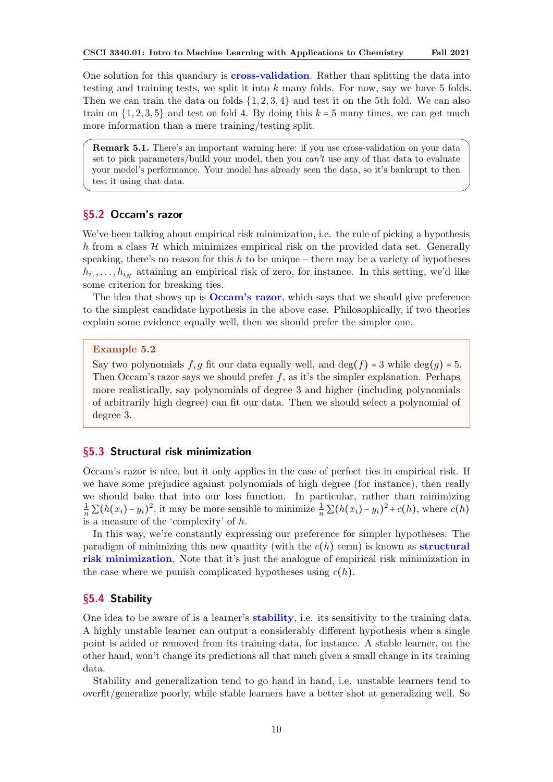<span id="page-9-3"></span>One solution for this quandary is cross-validation. Rather than splitting the data into testing and training tests, we split it into k many folds. For now, say we have 5 folds. Then we can train the data on folds  $\{1, 2, 3, 4\}$  and test it on the 5th fold. We can also train on  $\{1, 2, 3, 5\}$  and test on fold 4. By doing this  $k = 5$  many times, we can get much more information than a mere training/testing split.

Remark 5.1. There's an important warning here: if you use cross-validation on your data set to pick parameters/build your model, then you can't use any of that data to evaluate your model's performance. Your model has already seen the data, so it's bankrupt to then test it using that data.

# <span id="page-9-0"></span>§5.2 Occam's razor

We've been talking about empirical risk minimization, i.e. the rule of picking a hypothesis h from a class  $H$  which minimizes empirical risk on the provided data set. Generally speaking, there's no reason for this h to be unique – there may be a variety of hypotheses  $h_{i_1}, \ldots, h_{i_N}$  attaining an empirical risk of zero, for instance. In this setting, we'd like some criterion for breaking ties.

The idea that shows up is **Occam's razor**, which says that we should give preference to the simplest candidate hypothesis in the above case. Philosophically, if two theories explain some evidence equally well, then we should prefer the simpler one.

# Example 5.2

Say two polynomials f, g fit our data equally well, and  $\deg(f) = 3$  while  $\deg(g) = 5$ . Then Occam's razor says we should prefer  $f$ , as it's the simpler explanation. Perhaps more realistically, say polynomials of degree 3 and higher (including polynomials of arbitrarily high degree) can fit our data. Then we should select a polynomial of degree 3.

# <span id="page-9-1"></span>§5.3 Structural risk minimization

Occam's razor is nice, but it only applies in the case of perfect ties in empirical risk. If we have some prejudice against polynomials of high degree (for instance), then really we should bake that into our loss function. In particular, rather than minimizing  $\frac{1}{n}\sum (h(x_i)-y_i)^2$ , it may be more sensible to minimize  $\frac{1}{n}\sum (h(x_i)-y_i)^2 + c(h)$ , where  $c(h)$ is a measure of the 'complexity' of h.

In this way, we're constantly expressing our preference for simpler hypotheses. The paradigm of minimizing this new quantity (with the  $c(h)$  term) is known as **structural** risk minimization. Note that it's just the analogue of empirical risk minimization in the case where we punish complicated hypotheses using  $c(h)$ .

# <span id="page-9-2"></span>§5.4 Stability

One idea to be aware of is a learner's **stability**, i.e. its sensitivity to the training data. A highly unstable learner can output a considerably different hypothesis when a single point is added or removed from its training data, for instance. A stable learner, on the other hand, won't change its predictions all that much given a small change in its training data.

Stability and generalization tend to go hand in hand, i.e. unstable learners tend to overfit/generalize poorly, while stable learners have a better shot at generalizing well. So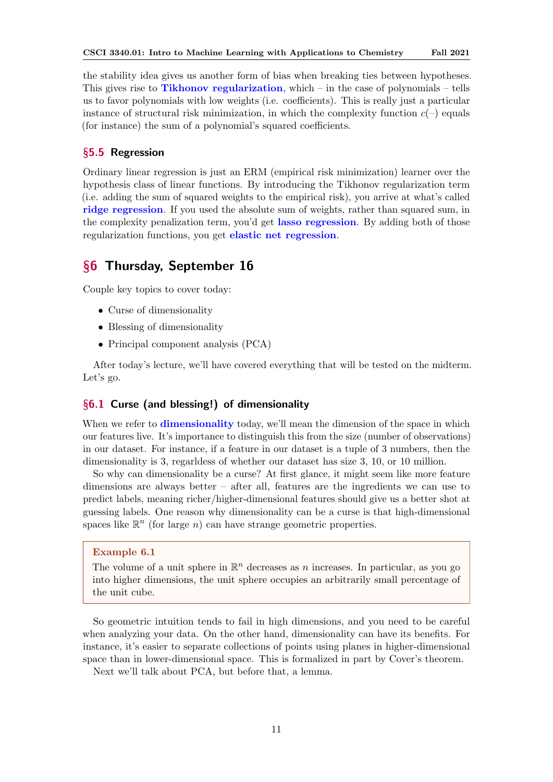<span id="page-10-3"></span>the stability idea gives us another form of bias when breaking ties between hypotheses. This gives rise to **Tikhonov regularization**, which – in the case of polynomials – tells us to favor polynomials with low weights (i.e. coefficients). This is really just a particular instance of structural risk minimization, in which the complexity function  $c(-)$  equals (for instance) the sum of a polynomial's squared coefficients.

# <span id="page-10-0"></span>§5.5 Regression

Ordinary linear regression is just an ERM (empirical risk minimization) learner over the hypothesis class of linear functions. By introducing the Tikhonov regularization term (i.e. adding the sum of squared weights to the empirical risk), you arrive at what's called ridge regression. If you used the absolute sum of weights, rather than squared sum, in the complexity penalization term, you'd get lasso regression. By adding both of those regularization functions, you get elastic net regression.

# <span id="page-10-1"></span>§6 Thursday, September 16

Couple key topics to cover today:

- Curse of dimensionality
- Blessing of dimensionality
- Principal component analysis (PCA)

After today's lecture, we'll have covered everything that will be tested on the midterm. Let's go.

# <span id="page-10-2"></span>§6.1 Curse (and blessing!) of dimensionality

When we refer to **dimensionality** today, we'll mean the dimension of the space in which our features live. It's importance to distinguish this from the size (number of observations) in our dataset. For instance, if a feature in our dataset is a tuple of 3 numbers, then the dimensionality is 3, regarldess of whether our dataset has size 3, 10, or 10 million.

So why can dimensionality be a curse? At first glance, it might seem like more feature dimensions are always better – after all, features are the ingredients we can use to predict labels, meaning richer/higher-dimensional features should give us a better shot at guessing labels. One reason why dimensionality can be a curse is that high-dimensional spaces like  $\mathbb{R}^n$  (for large n) can have strange geometric properties.

#### Example 6.1

The volume of a unit sphere in  $\mathbb{R}^n$  decreases as n increases. In particular, as you go into higher dimensions, the unit sphere occupies an arbitrarily small percentage of the unit cube.

So geometric intuition tends to fail in high dimensions, and you need to be careful when analyzing your data. On the other hand, dimensionality can have its benefits. For instance, it's easier to separate collections of points using planes in higher-dimensional space than in lower-dimensional space. This is formalized in part by Cover's theorem.

Next we'll talk about PCA, but before that, a lemma.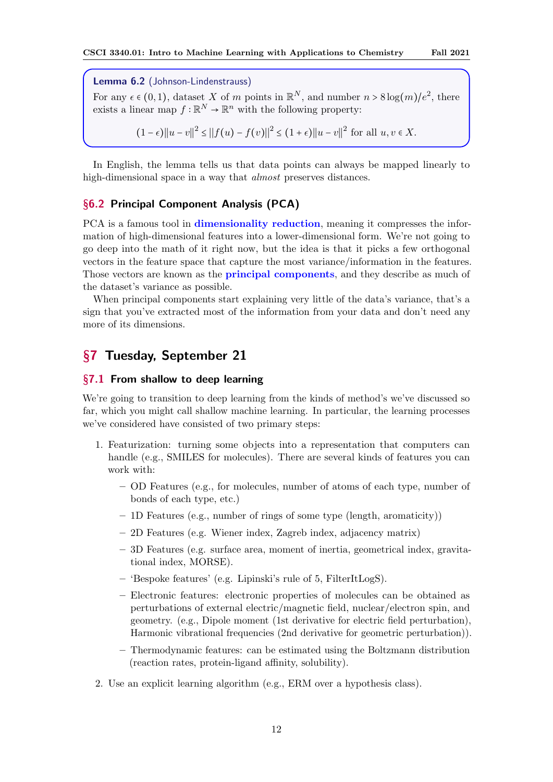<span id="page-11-3"></span>Lemma 6.2 (Johnson-Lindenstrauss)

For any  $\epsilon \in (0,1)$ , dataset X of m points in  $\mathbb{R}^N$ , and number  $n > 8 \log(m)/e^2$ , there exists a linear map  $f : \mathbb{R}^N \to \mathbb{R}^n$  with the following property:

 $(1 - \epsilon) ||u - v||^2 \le ||f(u) - f(v)||^2 \le (1 + \epsilon) ||u - v||^2$  for all  $u, v \in X$ .

In English, the lemma tells us that data points can always be mapped linearly to high-dimensional space in a way that almost preserves distances.

# <span id="page-11-0"></span>§6.2 Principal Component Analysis (PCA)

PCA is a famous tool in **dimensionality reduction**, meaning it compresses the information of high-dimensional features into a lower-dimensional form. We're not going to go deep into the math of it right now, but the idea is that it picks a few orthogonal vectors in the feature space that capture the most variance/information in the features. Those vectors are known as the **principal components**, and they describe as much of the dataset's variance as possible.

When principal components start explaining very little of the data's variance, that's a sign that you've extracted most of the information from your data and don't need any more of its dimensions.

# <span id="page-11-1"></span>§7 Tuesday, September 21

### <span id="page-11-2"></span>§7.1 From shallow to deep learning

We're going to transition to deep learning from the kinds of method's we've discussed so far, which you might call shallow machine learning. In particular, the learning processes we've considered have consisted of two primary steps:

- 1. Featurization: turning some objects into a representation that computers can handle (e.g., SMILES for molecules). There are several kinds of features you can work with:
	- OD Features (e.g., for molecules, number of atoms of each type, number of bonds of each type, etc.)
	- 1D Features (e.g., number of rings of some type (length, aromaticity))
	- 2D Features (e.g. Wiener index, Zagreb index, adjacency matrix)
	- 3D Features (e.g. surface area, moment of inertia, geometrical index, gravitational index, MORSE).
	- 'Bespoke features' (e.g. Lipinski's rule of 5, FilterItLogS).
	- Electronic features: electronic properties of molecules can be obtained as perturbations of external electric/magnetic field, nuclear/electron spin, and geometry. (e.g., Dipole moment (1st derivative for electric field perturbation), Harmonic vibrational frequencies (2nd derivative for geometric perturbation)).
	- Thermodynamic features: can be estimated using the Boltzmann distribution (reaction rates, protein-ligand affinity, solubility).
- 2. Use an explicit learning algorithm (e.g., ERM over a hypothesis class).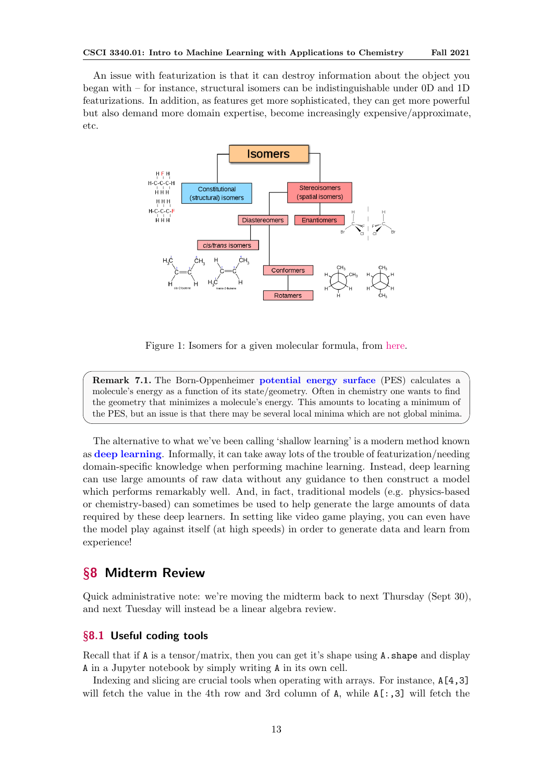<span id="page-12-2"></span>An issue with featurization is that it can destroy information about the object you began with – for instance, structural isomers can be indistinguishable under 0D and 1D featurizations. In addition, as features get more sophisticated, they can get more powerful but also demand more domain expertise, become increasingly expensive/approximate, etc.



Figure 1: Isomers for a given molecular formula, from [here.](https://en.wikipedia.org/wiki/Isomer)

Remark 7.1. The Born-Oppenheimer potential energy surface (PES) calculates a molecule's energy as a function of its state/geometry. Often in chemistry one wants to find the geometry that minimizes a molecule's energy. This amounts to locating a minimum of the PES, but an issue is that there may be several local minima which are not global minima.

The alternative to what we've been calling 'shallow learning' is a modern method known as deep learning. Informally, it can take away lots of the trouble of featurization/needing domain-specific knowledge when performing machine learning. Instead, deep learning can use large amounts of raw data without any guidance to then construct a model which performs remarkably well. And, in fact, traditional models (e.g. physics-based or chemistry-based) can sometimes be used to help generate the large amounts of data required by these deep learners. In setting like video game playing, you can even have the model play against itself (at high speeds) in order to generate data and learn from experience!

# <span id="page-12-0"></span>§8 Midterm Review

Quick administrative note: we're moving the midterm back to next Thursday (Sept 30), and next Tuesday will instead be a linear algebra review.

# <span id="page-12-1"></span>§8.1 Useful coding tools

Recall that if  $A$  is a tensor/matrix, then you can get it's shape using  $A$ . shape and display A in a Jupyter notebook by simply writing A in its own cell.

Indexing and slicing are crucial tools when operating with arrays. For instance, A[4,3] will fetch the value in the 4th row and 3rd column of  $A$ , while  $A$ [:,3] will fetch the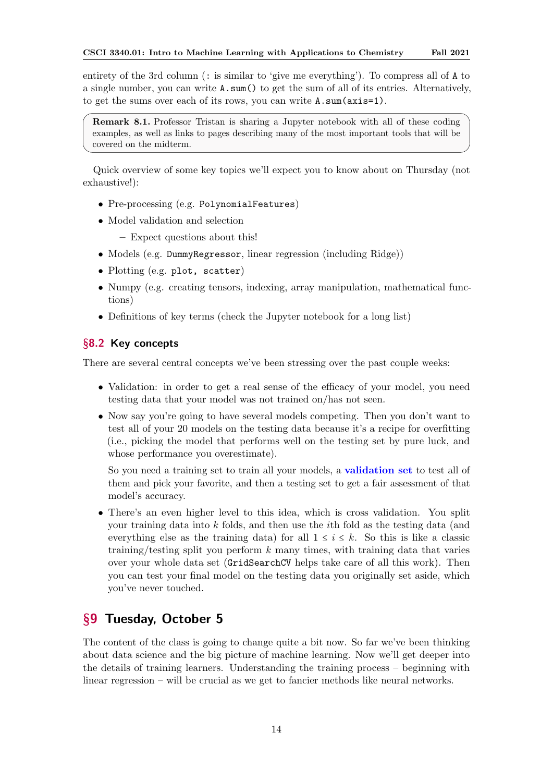<span id="page-13-2"></span>entirety of the 3rd column (: is similar to 'give me everything'). To compress all of A to a single number, you can write A.sum() to get the sum of all of its entries. Alternatively, to get the sums over each of its rows, you can write A.sum(axis=1).

Remark 8.1. Professor Tristan is sharing a Jupyter notebook with all of these coding examples, as well as links to pages describing many of the most important tools that will be covered on the midterm.

Quick overview of some key topics we'll expect you to know about on Thursday (not exhaustive!):

- Pre-processing (e.g. PolynomialFeatures)
- Model validation and selection
	- Expect questions about this!
- Models (e.g. DummyRegressor, linear regression (including Ridge))
- Plotting (e.g. plot, scatter)
- Numpy (e.g. creating tensors, indexing, array manipulation, mathematical functions)
- Definitions of key terms (check the Jupyter notebook for a long list)

# <span id="page-13-0"></span>§8.2 Key concepts

There are several central concepts we've been stressing over the past couple weeks:

- Validation: in order to get a real sense of the efficacy of your model, you need testing data that your model was not trained on/has not seen.
- Now say you're going to have several models competing. Then you don't want to test all of your 20 models on the testing data because it's a recipe for overfitting (i.e., picking the model that performs well on the testing set by pure luck, and whose performance you overestimate).

So you need a training set to train all your models, a validation set to test all of them and pick your favorite, and then a testing set to get a fair assessment of that model's accuracy.

• There's an even higher level to this idea, which is cross validation. You split your training data into k folds, and then use the ith fold as the testing data (and everything else as the training data) for all  $1 \leq i \leq k$ . So this is like a classic training/testing split you perform k many times, with training data that varies over your whole data set (GridSearchCV helps take care of all this work). Then you can test your final model on the testing data you originally set aside, which you've never touched.

# <span id="page-13-1"></span>§9 Tuesday, October 5

The content of the class is going to change quite a bit now. So far we've been thinking about data science and the big picture of machine learning. Now we'll get deeper into the details of training learners. Understanding the training process – beginning with linear regression – will be crucial as we get to fancier methods like neural networks.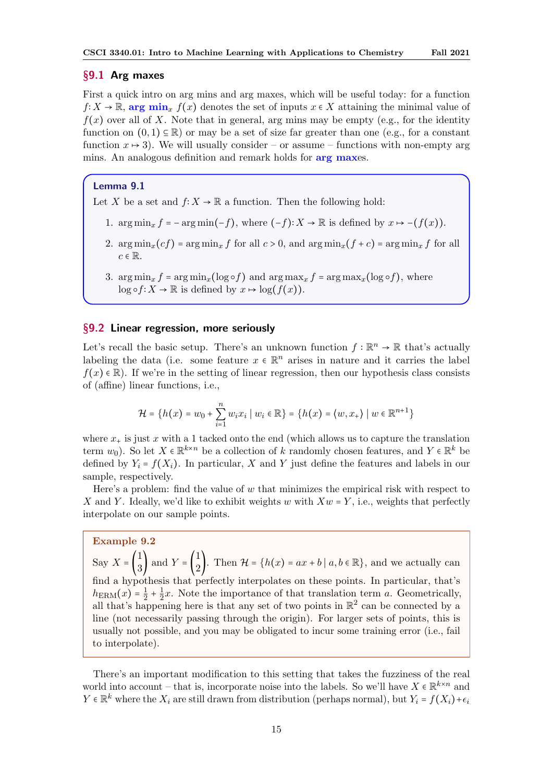### <span id="page-14-2"></span><span id="page-14-0"></span>§9.1 Arg maxes

First a quick intro on arg mins and arg maxes, which will be useful today: for a function  $f: X \to \mathbb{R}$ , arg min<sub>x</sub>  $f(x)$  denotes the set of inputs  $x \in X$  attaining the minimal value of  $f(x)$  over all of X. Note that in general, arg mins may be empty (e.g., for the identity function on  $(0,1) \subseteq \mathbb{R}$ ) or may be a set of size far greater than one (e.g., for a constant function  $x \mapsto 3$ . We will usually consider – or assume – functions with non-empty arg mins. An analogous definition and remark holds for **arg maxes**.

### Lemma 9.1

Let X be a set and  $f: X \to \mathbb{R}$  a function. Then the following hold:

- 1.  $\arg \min_x f = -\arg \min(-f)$ , where  $(-f): X \to \mathbb{R}$  is defined by  $x \mapsto -(f(x)).$
- 2.  $\arg \min_x (cf) = \arg \min_x f$  for all  $c > 0$ , and  $\arg \min_x (f + c) = \arg \min_x f$  for all  $c \in \mathbb{R}$ .
- 3.  $\arg \min_x f = \arg \min_x (\log \circ f)$  and  $\arg \max_x f = \arg \max_x (\log \circ f)$ , where  $\log \circ f: X \to \mathbb{R}$  is defined by  $x \mapsto \log(f(x))$ .

# <span id="page-14-1"></span>§9.2 Linear regression, more seriously

Let's recall the basic setup. There's an unknown function  $f : \mathbb{R}^n \to \mathbb{R}$  that's actually labeling the data (i.e. some feature  $x \in \mathbb{R}^n$  arises in nature and it carries the label  $f(x) \in \mathbb{R}$ . If we're in the setting of linear regression, then our hypothesis class consists of (affine) linear functions, i.e.,

$$
\mathcal{H} = \{h(x) = w_0 + \sum_{i=1}^n w_i x_i \mid w_i \in \mathbb{R}\} = \{h(x) = \langle w, x_+ \rangle \mid w \in \mathbb{R}^{n+1}\}
$$

where  $x_{+}$  is just x with a 1 tacked onto the end (which allows us to capture the translation term  $w_0$ ). So let  $X \in \mathbb{R}^{k \times n}$  be a collection of k randomly chosen features, and  $Y \in \mathbb{R}^k$  be defined by  $Y_i = f(X_i)$ . In particular, X and Y just define the features and labels in our sample, respectively.

Here's a problem: find the value of  $w$  that minimizes the empirical risk with respect to X and Y. Ideally, we'd like to exhibit weights w with  $Xw = Y$ , i.e., weights that perfectly interpolate on our sample points.

Example 9.2

Say  $X = \begin{pmatrix} 1 \\ 2 \end{pmatrix}$  $\begin{pmatrix} 1 \\ 3 \end{pmatrix}$  and  $Y = \begin{pmatrix} 1 \\ 2 \end{pmatrix}$  $\begin{bmatrix} 1 \\ 2 \end{bmatrix}$ . Then  $\mathcal{H} = \{h(x) = ax + b \mid a, b \in \mathbb{R}\}$ , and we actually can find a hypothesis that perfectly interpolates on these points. In particular, that's  $h_{\text{ERM}}(x) = \frac{1}{2}$  $\frac{1}{2} + \frac{1}{2}$  $\frac{1}{2}x$ . Note the importance of that translation term a. Geometrically, all that's happening here is that any set of two points in  $\mathbb{R}^2$  can be connected by a line (not necessarily passing through the origin). For larger sets of points, this is usually not possible, and you may be obligated to incur some training error (i.e., fail to interpolate).

There's an important modification to this setting that takes the fuzziness of the real world into account – that is, incorporate noise into the labels. So we'll have  $X \in \mathbb{R}^{k \times n}$  and  $Y \in \mathbb{R}^k$  where the  $X_i$  are still drawn from distribution (perhaps normal), but  $Y_i = f(X_i) + \epsilon_i$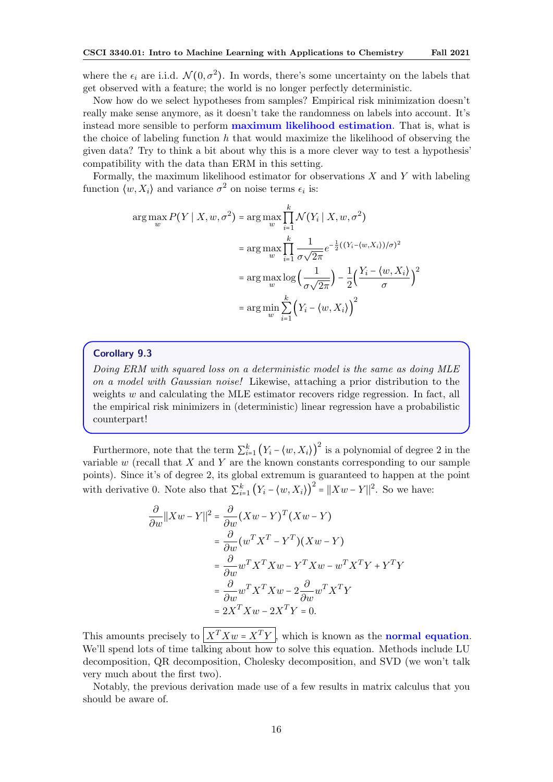<span id="page-15-0"></span>where the  $\epsilon_i$  are i.i.d.  $\mathcal{N}(0, \sigma^2)$ . In words, there's some uncertainty on the labels that get observed with a feature; the world is no longer perfectly deterministic.

Now how do we select hypotheses from samples? Empirical risk minimization doesn't really make sense anymore, as it doesn't take the randomness on labels into account. It's instead more sensible to perform maximum likelihood estimation. That is, what is the choice of labeling function  $h$  that would maximize the likelihood of observing the given data? Try to think a bit about why this is a more clever way to test a hypothesis' compatibility with the data than ERM in this setting.

Formally, the maximum likelihood estimator for observations  $X$  and  $Y$  with labeling function  $\langle w, X_i \rangle$  and variance  $\sigma^2$  on noise terms  $\epsilon_i$  is:

$$
\arg \max_{w} P(Y | X, w, \sigma^2) = \arg \max_{w} \prod_{i=1}^{k} \mathcal{N}(Y_i | X, w, \sigma^2)
$$

$$
= \arg \max_{w} \prod_{i=1}^{k} \frac{1}{\sigma \sqrt{2\pi}} e^{-\frac{1}{2}((Y_i - \langle w, X_i \rangle)/\sigma)^2}
$$

$$
= \arg \max_{w} \log \left(\frac{1}{\sigma \sqrt{2\pi}}\right) - \frac{1}{2} \left(\frac{Y_i - \langle w, X_i \rangle}{\sigma}\right)^2
$$

$$
= \arg \min_{w} \sum_{i=1}^{k} \left(Y_i - \langle w, X_i \rangle\right)^2
$$

### Corollary 9.3

Doing ERM with squared loss on a deterministic model is the same as doing MLE on a model with Gaussian noise! Likewise, attaching a prior distribution to the weights  $w$  and calculating the MLE estimator recovers ridge regression. In fact, all the empirical risk minimizers in (deterministic) linear regression have a probabilistic counterpart!

Furthermore, note that the term  $\sum_{i=1}^{k} (Y_i - \langle w, X_i \rangle)^2$  is a polynomial of degree 2 in the variable  $w$  (recall that  $X$  and  $Y$  are the known constants corresponding to our sample points). Since it's of degree 2, its global extremum is guaranteed to happen at the point with derivative 0. Note also that  $\sum_{i=1}^{k} (Y_i - \langle w, X_i \rangle)^2 = ||Xw - Y||^2$ . So we have:

$$
\frac{\partial}{\partial w} ||Xw - Y||^2 = \frac{\partial}{\partial w} (Xw - Y)^T (Xw - Y)
$$
  
\n
$$
= \frac{\partial}{\partial w} (w^T X^T - Y^T) (Xw - Y)
$$
  
\n
$$
= \frac{\partial}{\partial w} w^T X^T Xw - Y^T Xw - w^T X^T Y + Y^T Y
$$
  
\n
$$
= \frac{\partial}{\partial w} w^T X^T Xw - 2 \frac{\partial}{\partial w} w^T X^T Y
$$
  
\n
$$
= 2X^T Xw - 2X^T Y = 0.
$$

This amounts precisely to  $\left| X^T X w = X^T Y \right|$ , which is known as the **normal equation**. We'll spend lots of time talking about how to solve this equation. Methods include LU decomposition, QR decomposition, Cholesky decomposition, and SVD (we won't talk very much about the first two).

Notably, the previous derivation made use of a few results in matrix calculus that you should be aware of.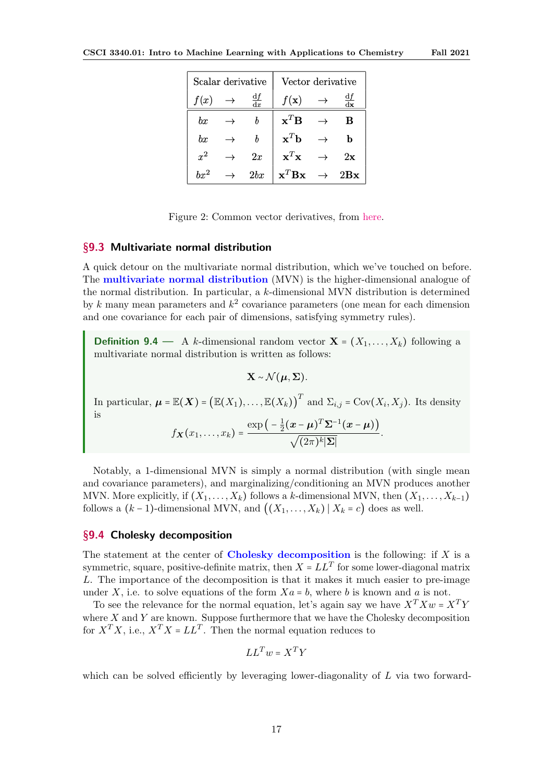<span id="page-16-2"></span>

| Scalar derivative |  |     | Vector derivative                    |               |     |
|-------------------|--|-----|--------------------------------------|---------------|-----|
| f(x)              |  |     | $f(\mathbf{x})$                      |               |     |
| bx                |  |     | $\mathbf{x}^T \mathbf{B}$            |               | в   |
| $_{bx}$           |  | b   | $\mathbf{x}^T\mathbf{b}$             |               | b   |
| $x^2$             |  | 2x  | $\mathbf{x}^T\mathbf{x}$             | $\rightarrow$ | 2x  |
| $bx^2$            |  | 2bx | $\mathbf{x}^T \mathbf{B} \mathbf{x}$ | $\rightarrow$ | 2Bx |

Figure 2: Common vector derivatives, from [here.](http://www.gatsby.ucl.ac.uk/teaching/courses/sntn/sntn-2017/resources/Matrix_derivatives_cribsheet.pdf)

# <span id="page-16-0"></span>§9.3 Multivariate normal distribution

A quick detour on the multivariate normal distribution, which we've touched on before. The multivariate normal distribution (MVN) is the higher-dimensional analogue of the normal distribution. In particular, a k-dimensional MVN distribution is determined by k many mean parameters and  $k^2$  covariance parameters (one mean for each dimension and one covariance for each pair of dimensions, satisfying symmetry rules).

**Definition 9.4** — A k-dimensional random vector  $X = (X_1, \ldots, X_k)$  following a multivariate normal distribution is written as follows:

$$
\mathbf{X} \sim \mathcal{N}(\boldsymbol{\mu}, \boldsymbol{\Sigma}).
$$

In particular,  $\boldsymbol{\mu} = \mathbb{E}(\boldsymbol{X}) = (\mathbb{E}(X_1), \dots, \mathbb{E}(X_k))^T$  and  $\Sigma_{i,j} = \text{Cov}(X_i, X_j)$ . Its density is

$$
f_{\boldsymbol{X}}(x_1,\ldots,x_k)=\frac{\exp\big(-\frac{1}{2}(\boldsymbol{x}-\boldsymbol{\mu})^T\boldsymbol{\Sigma}^{-1}(\boldsymbol{x}-\boldsymbol{\mu})\big)}{\sqrt{(2\pi)^k|\boldsymbol{\Sigma}|}}.
$$

Notably, a 1-dimensional MVN is simply a normal distribution (with single mean and covariance parameters), and marginalizing/conditioning an MVN produces another MVN. More explicitly, if  $(X_1, \ldots, X_k)$  follows a k-dimensional MVN, then  $(X_1, \ldots, X_{k-1})$ follows a  $(k-1)$ -dimensional MVN, and  $((X_1, \ldots, X_k) | X_k = c)$  does as well.

# <span id="page-16-1"></span>§9.4 Cholesky decomposition

The statement at the center of Cholesky decomposition is the following: if  $X$  is a symmetric, square, positive-definite matrix, then  $X = LL^T$  for some lower-diagonal matrix L. The importance of the decomposition is that it makes it much easier to pre-image under X, i.e. to solve equations of the form  $X_a = b$ , where b is known and a is not.

To see the relevance for the normal equation, let's again say we have  $X^T X w = X^T Y$ where  $X$  and  $Y$  are known. Suppose furthermore that we have the Cholesky decomposition for  $X^T X$ , i.e.,  $X^T X = LL^T$ . Then the normal equation reduces to

$$
LL^T w = X^T Y
$$

which can be solved efficiently by leveraging lower-diagonality of  $L$  via two forward-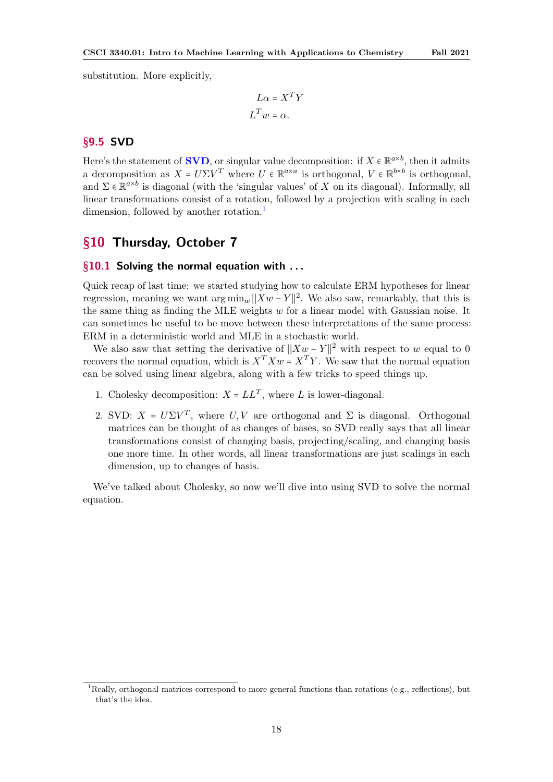<span id="page-17-4"></span>substitution. More explicitly,

$$
L\alpha = X^T Y
$$

$$
L^T w = \alpha.
$$

# <span id="page-17-0"></span>§9.5 SVD

Here's the statement of **SVD**, or singular value decomposition: if  $X \in \mathbb{R}^{a \times b}$ , then it admits a decomposition as  $X = U\Sigma V^T$  where  $U \in \mathbb{R}^{a \times a}$  is orthogonal,  $V \in \mathbb{R}^{b \times b}$  is orthogonal, and  $\Sigma \in \mathbb{R}^{a \times b}$  is diagonal (with the 'singular values' of X on its diagonal). Informally, all linear transformations consist of a rotation, followed by a projection with scaling in each dimension, followed by another rotation.<sup>[1](#page-17-3)</sup>

# <span id="page-17-1"></span>§10 Thursday, October 7

# <span id="page-17-2"></span> $§10.1$  Solving the normal equation with ...

Quick recap of last time: we started studying how to calculate ERM hypotheses for linear regression, meaning we want  $\arg \min_w ||Xw - Y||^2$ . We also saw, remarkably, that this is the same thing as finding the MLE weights  $w$  for a linear model with Gaussian noise. It can sometimes be useful to be move between these interpretations of the same process: ERM in a deterministic world and MLE in a stochastic world.

We also saw that setting the derivative of  $||Xw - Y||^2$  with respect to w equal to 0 recovers the normal equation, which is  $X^T X w = X^T Y$ . We saw that the normal equation can be solved using linear algebra, along with a few tricks to speed things up.

- 1. Cholesky decomposition:  $X = LL^T$ , where L is lower-diagonal.
- 2. SVD:  $X = U\Sigma V^T$ , where  $U, V$  are orthogonal and  $\Sigma$  is diagonal. Orthogonal matrices can be thought of as changes of bases, so SVD really says that all linear transformations consist of changing basis, projecting/scaling, and changing basis one more time. In other words, all linear transformations are just scalings in each dimension, up to changes of basis.

We've talked about Cholesky, so now we'll dive into using SVD to solve the normal equation.

<span id="page-17-3"></span><sup>&</sup>lt;sup>1</sup>Really, orthogonal matrices correspond to more general functions than rotations (e.g., reflections), but that's the idea.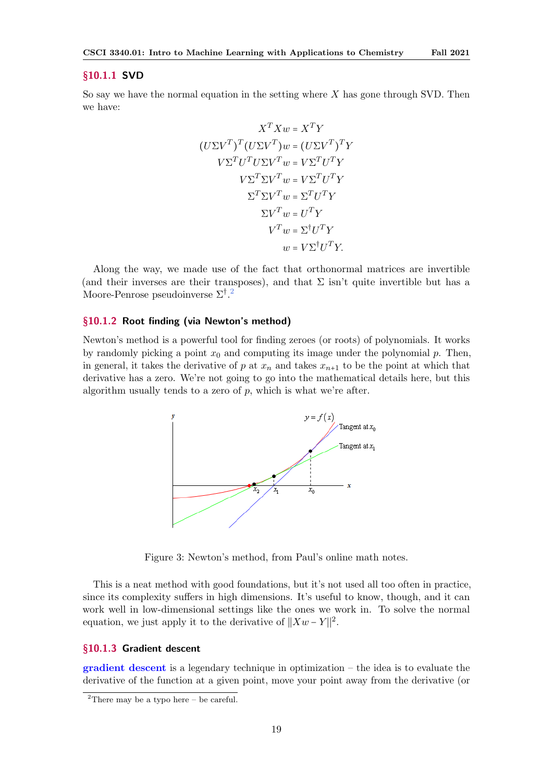### <span id="page-18-4"></span><span id="page-18-0"></span>§10.1.1 SVD

So say we have the normal equation in the setting where X has gone through SVD. Then we have:

$$
X^T X w = X^T Y
$$

$$
(U\Sigma V^T)^T (U\Sigma V^T) w = (U\Sigma V^T)^T Y
$$

$$
V\Sigma^T U^T U \Sigma V^T w = V \Sigma^T U^T Y
$$

$$
V \Sigma^T \Sigma V^T w = V \Sigma^T U^T Y
$$

$$
\Sigma^T \Sigma V^T w = \Sigma^T U^T Y
$$

$$
\Sigma V^T w = U^T Y
$$

$$
V^T w = \Sigma^{\dagger} U^T Y
$$

$$
w = V \Sigma^{\dagger} U^T Y.
$$

Along the way, we made use of the fact that orthonormal matrices are invertible (and their inverses are their transposes), and that  $\Sigma$  isn't quite invertible but has a Moore-Penrose pseudoinverse  $\Sigma^{\dagger}$ .<sup>[2](#page-18-3)</sup>

# <span id="page-18-1"></span>§10.1.2 Root finding (via Newton's method)

Newton's method is a powerful tool for finding zeroes (or roots) of polynomials. It works by randomly picking a point  $x_0$  and computing its image under the polynomial p. Then, in general, it takes the derivative of p at  $x_n$  and takes  $x_{n+1}$  to be the point at which that derivative has a zero. We're not going to go into the mathematical details here, but this algorithm usually tends to a zero of  $p$ , which is what we're after.



Figure 3: Newton's method, from Paul's online math notes.

This is a neat method with good foundations, but it's not used all too often in practice, since its complexity suffers in high dimensions. It's useful to know, though, and it can work well in low-dimensional settings like the ones we work in. To solve the normal equation, we just apply it to the derivative of  $||Xw - Y||^2$ .

### <span id="page-18-2"></span>§10.1.3 Gradient descent

 $gradient$  descent is a legendary technique in optimization – the idea is to evaluate the derivative of the function at a given point, move your point away from the derivative (or

<span id="page-18-3"></span><sup>&</sup>lt;sup>2</sup>There may be a typo here – be careful.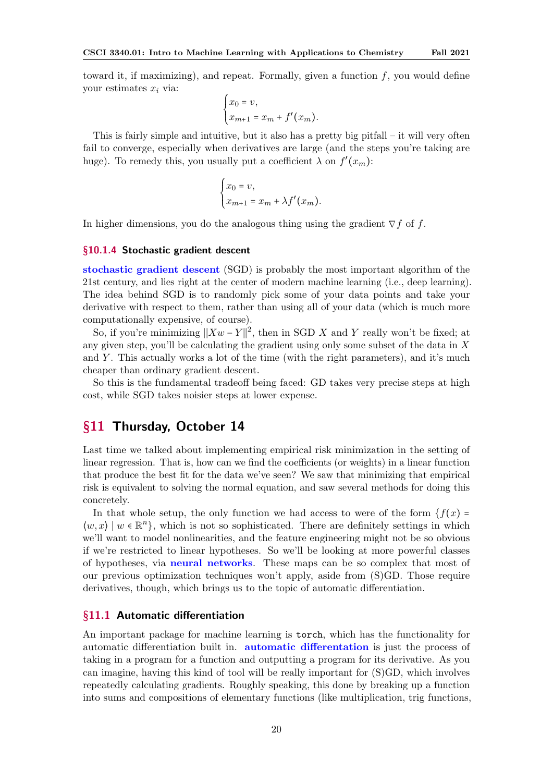<span id="page-19-3"></span>toward it, if maximizing), and repeat. Formally, given a function  $f$ , you would define your estimates  $x_i$  via:

$$
\begin{cases} x_0 = v, \\ x_{m+1} = x_m + f'(x_m). \end{cases}
$$

This is fairly simple and intuitive, but it also has a pretty big pitfall – it will very often fail to converge, especially when derivatives are large (and the steps you're taking are huge). To remedy this, you usually put a coefficient  $\lambda$  on  $f'(x_m)$ :

$$
\begin{cases} x_0 = v, \\ x_{m+1} = x_m + \lambda f'(x_m). \end{cases}
$$

In higher dimensions, you do the analogous thing using the gradient  $\nabla f$  of f.

### <span id="page-19-0"></span>§10.1.4 Stochastic gradient descent

stochastic gradient descent (SGD) is probably the most important algorithm of the 21st century, and lies right at the center of modern machine learning (i.e., deep learning). The idea behind SGD is to randomly pick some of your data points and take your derivative with respect to them, rather than using all of your data (which is much more computationally expensive, of course).

So, if you're minimizing  $||Xw - Y||^2$ , then in SGD X and Y really won't be fixed; at any given step, you'll be calculating the gradient using only some subset of the data in  $X$ and  $Y$ . This actually works a lot of the time (with the right parameters), and it's much cheaper than ordinary gradient descent.

So this is the fundamental tradeoff being faced: GD takes very precise steps at high cost, while SGD takes noisier steps at lower expense.

# <span id="page-19-1"></span>§11 Thursday, October 14

Last time we talked about implementing empirical risk minimization in the setting of linear regression. That is, how can we find the coefficients (or weights) in a linear function that produce the best fit for the data we've seen? We saw that minimizing that empirical risk is equivalent to solving the normal equation, and saw several methods for doing this concretely.

In that whole setup, the only function we had access to were of the form  $\{f(x) =$  $\langle w, x \rangle \mid w \in \mathbb{R}^n$ , which is not so sophisticated. There are definitely settings in which we'll want to model nonlinearities, and the feature engineering might not be so obvious if we're restricted to linear hypotheses. So we'll be looking at more powerful classes of hypotheses, via neural networks. These maps can be so complex that most of our previous optimization techniques won't apply, aside from (S)GD. Those require derivatives, though, which brings us to the topic of automatic differentiation.

# <span id="page-19-2"></span>§11.1 Automatic differentiation

An important package for machine learning is torch, which has the functionality for automatic differentiation built in. automatic differentation is just the process of taking in a program for a function and outputting a program for its derivative. As you can imagine, having this kind of tool will be really important for (S)GD, which involves repeatedly calculating gradients. Roughly speaking, this done by breaking up a function into sums and compositions of elementary functions (like multiplication, trig functions,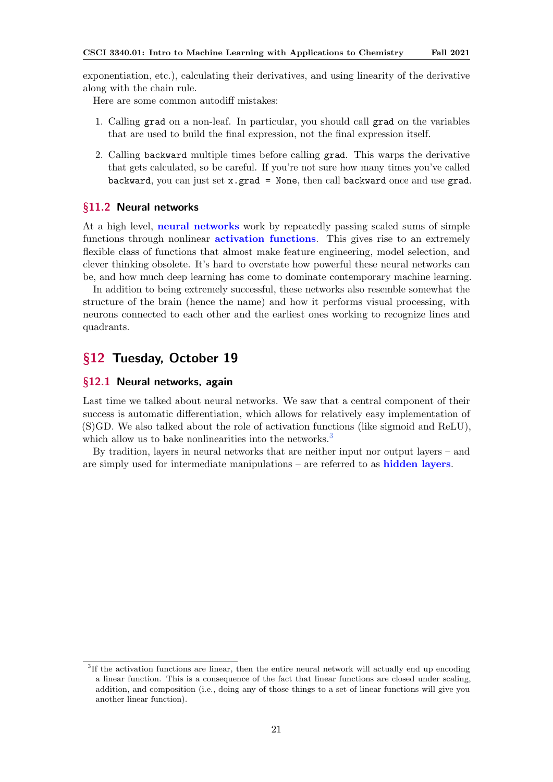<span id="page-20-4"></span>exponentiation, etc.), calculating their derivatives, and using linearity of the derivative along with the chain rule.

Here are some common autodiff mistakes:

- 1. Calling grad on a non-leaf. In particular, you should call grad on the variables that are used to build the final expression, not the final expression itself.
- 2. Calling backward multiple times before calling grad. This warps the derivative that gets calculated, so be careful. If you're not sure how many times you've called backward, you can just set  $x.grad = None$ , then call backward once and use grad.

# <span id="page-20-0"></span>§11.2 Neural networks

At a high level, neural networks work by repeatedly passing scaled sums of simple functions through nonlinear **activation functions**. This gives rise to an extremely flexible class of functions that almost make feature engineering, model selection, and clever thinking obsolete. It's hard to overstate how powerful these neural networks can be, and how much deep learning has come to dominate contemporary machine learning.

In addition to being extremely successful, these networks also resemble somewhat the structure of the brain (hence the name) and how it performs visual processing, with neurons connected to each other and the earliest ones working to recognize lines and quadrants.

# <span id="page-20-1"></span>§12 Tuesday, October 19

# <span id="page-20-2"></span>§12.1 Neural networks, again

Last time we talked about neural networks. We saw that a central component of their success is automatic differentiation, which allows for relatively easy implementation of (S)GD. We also talked about the role of activation functions (like sigmoid and ReLU), which allow us to bake nonlinearities into the networks.<sup>[3](#page-20-3)</sup>

By tradition, layers in neural networks that are neither input nor output layers – and are simply used for intermediate manipulations – are referred to as hidden layers.

<span id="page-20-3"></span><sup>3</sup> If the activation functions are linear, then the entire neural network will actually end up encoding a linear function. This is a consequence of the fact that linear functions are closed under scaling, addition, and composition (i.e., doing any of those things to a set of linear functions will give you another linear function).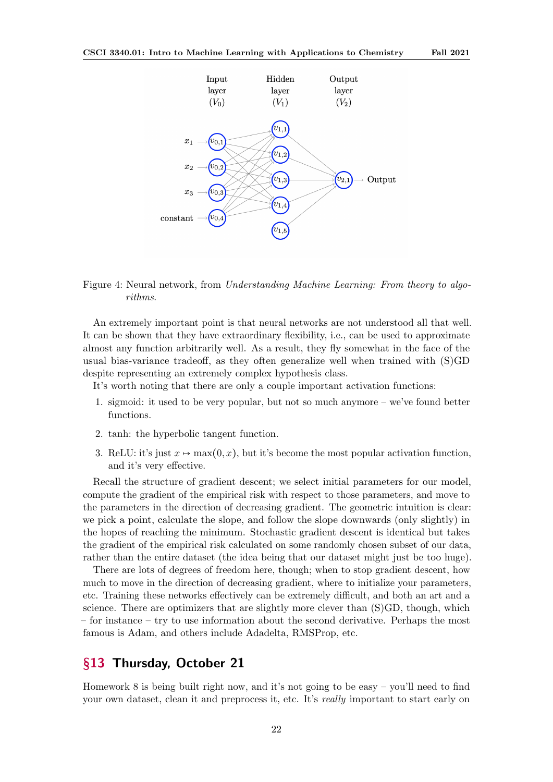

# Figure 4: Neural network, from Understanding Machine Learning: From theory to algorithms.

An extremely important point is that neural networks are not understood all that well. It can be shown that they have extraordinary flexibility, i.e., can be used to approximate almost any function arbitrarily well. As a result, they fly somewhat in the face of the usual bias-variance tradeoff, as they often generalize well when trained with (S)GD despite representing an extremely complex hypothesis class.

It's worth noting that there are only a couple important activation functions:

- 1. sigmoid: it used to be very popular, but not so much anymore we've found better functions.
- 2. tanh: the hyperbolic tangent function.
- 3. ReLU: it's just  $x \mapsto \max(0, x)$ , but it's become the most popular activation function, and it's very effective.

Recall the structure of gradient descent; we select initial parameters for our model, compute the gradient of the empirical risk with respect to those parameters, and move to the parameters in the direction of decreasing gradient. The geometric intuition is clear: we pick a point, calculate the slope, and follow the slope downwards (only slightly) in the hopes of reaching the minimum. Stochastic gradient descent is identical but takes the gradient of the empirical risk calculated on some randomly chosen subset of our data, rather than the entire dataset (the idea being that our dataset might just be too huge).

There are lots of degrees of freedom here, though; when to stop gradient descent, how much to move in the direction of decreasing gradient, where to initialize your parameters, etc. Training these networks effectively can be extremely difficult, and both an art and a science. There are optimizers that are slightly more clever than (S)GD, though, which – for instance – try to use information about the second derivative. Perhaps the most famous is Adam, and others include Adadelta, RMSProp, etc.

# <span id="page-21-0"></span>§13 Thursday, October 21

Homework 8 is being built right now, and it's not going to be easy – you'll need to find your own dataset, clean it and preprocess it, etc. It's really important to start early on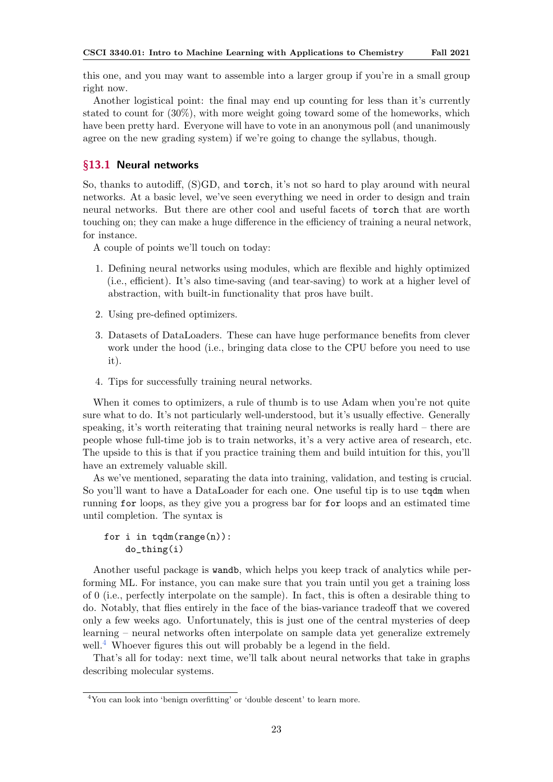this one, and you may want to assemble into a larger group if you're in a small group right now.

Another logistical point: the final may end up counting for less than it's currently stated to count for (30%), with more weight going toward some of the homeworks, which have been pretty hard. Everyone will have to vote in an anonymous poll (and unanimously agree on the new grading system) if we're going to change the syllabus, though.

# <span id="page-22-0"></span>§13.1 Neural networks

So, thanks to autodiff, (S)GD, and torch, it's not so hard to play around with neural networks. At a basic level, we've seen everything we need in order to design and train neural networks. But there are other cool and useful facets of torch that are worth touching on; they can make a huge difference in the efficiency of training a neural network, for instance.

A couple of points we'll touch on today:

- 1. Defining neural networks using modules, which are flexible and highly optimized (i.e., efficient). It's also time-saving (and tear-saving) to work at a higher level of abstraction, with built-in functionality that pros have built.
- 2. Using pre-defined optimizers.
- 3. Datasets of DataLoaders. These can have huge performance benefits from clever work under the hood (i.e., bringing data close to the CPU before you need to use it).
- 4. Tips for successfully training neural networks.

When it comes to optimizers, a rule of thumb is to use Adam when you're not quite sure what to do. It's not particularly well-understood, but it's usually effective. Generally speaking, it's worth reiterating that training neural networks is really hard – there are people whose full-time job is to train networks, it's a very active area of research, etc. The upside to this is that if you practice training them and build intuition for this, you'll have an extremely valuable skill.

As we've mentioned, separating the data into training, validation, and testing is crucial. So you'll want to have a DataLoader for each one. One useful tip is to use  $\texttt{tqdm}$  when running for loops, as they give you a progress bar for for loops and an estimated time until completion. The syntax is

# for i in  $tqdm(range(n))$ : do\_thing(i)

Another useful package is wandb, which helps you keep track of analytics while performing ML. For instance, you can make sure that you train until you get a training loss of 0 (i.e., perfectly interpolate on the sample). In fact, this is often a desirable thing to do. Notably, that flies entirely in the face of the bias-variance tradeoff that we covered only a few weeks ago. Unfortunately, this is just one of the central mysteries of deep learning – neural networks often interpolate on sample data yet generalize extremely well.<sup>[4](#page-22-1)</sup> Whoever figures this out will probably be a legend in the field.

That's all for today: next time, we'll talk about neural networks that take in graphs describing molecular systems.

<span id="page-22-1"></span><sup>&</sup>lt;sup>4</sup>You can look into 'benign overfitting' or 'double descent' to learn more.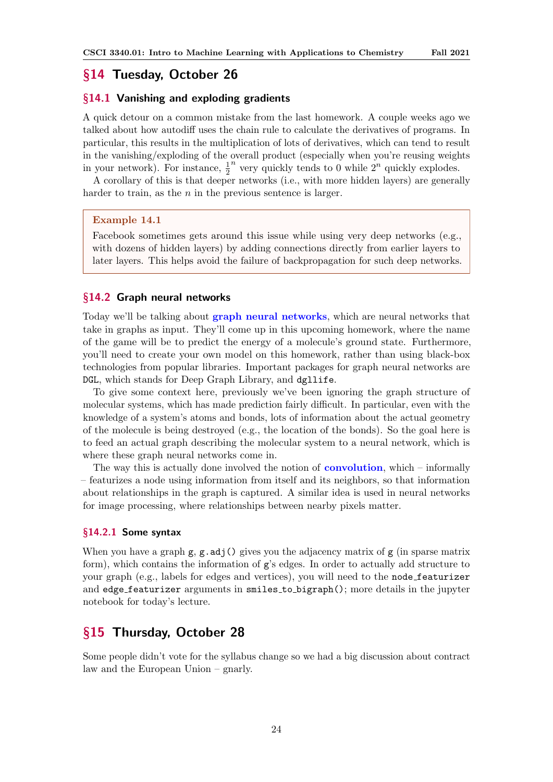# <span id="page-23-5"></span><span id="page-23-0"></span>§14 Tuesday, October 26

# <span id="page-23-1"></span>§14.1 Vanishing and exploding gradients

A quick detour on a common mistake from the last homework. A couple weeks ago we talked about how autodiff uses the chain rule to calculate the derivatives of programs. In particular, this results in the multiplication of lots of derivatives, which can tend to result in the vanishing/exploding of the overall product (especially when you're reusing weights in your network). For instance,  $\frac{1}{2}$  $\overline{n}$  very quickly tends to 0 while  $2^n$  quickly explodes.

A corollary of this is that deeper networks (i.e., with more hidden layers) are generally harder to train, as the  $n$  in the previous sentence is larger.

### Example 14.1

Facebook sometimes gets around this issue while using very deep networks (e.g., with dozens of hidden layers) by adding connections directly from earlier layers to later layers. This helps avoid the failure of backpropagation for such deep networks.

#### <span id="page-23-2"></span>§14.2 Graph neural networks

Today we'll be talking about graph neural networks, which are neural networks that take in graphs as input. They'll come up in this upcoming homework, where the name of the game will be to predict the energy of a molecule's ground state. Furthermore, you'll need to create your own model on this homework, rather than using black-box technologies from popular libraries. Important packages for graph neural networks are DGL, which stands for Deep Graph Library, and dgllife.

To give some context here, previously we've been ignoring the graph structure of molecular systems, which has made prediction fairly difficult. In particular, even with the knowledge of a system's atoms and bonds, lots of information about the actual geometry of the molecule is being destroyed (e.g., the location of the bonds). So the goal here is to feed an actual graph describing the molecular system to a neural network, which is where these graph neural networks come in.

The way this is actually done involved the notion of **convolution**, which  $-$  informally – featurizes a node using information from itself and its neighbors, so that information about relationships in the graph is captured. A similar idea is used in neural networks for image processing, where relationships between nearby pixels matter.

# <span id="page-23-3"></span>§14.2.1 Some syntax

When you have a graph  $g$ ,  $g$ .adj() gives you the adjacency matrix of  $g$  (in sparse matrix form), which contains the information of g's edges. In order to actually add structure to your graph (e.g., labels for edges and vertices), you will need to the node featurizer and edge featurizer arguments in smiles to bigraph(); more details in the jupyter notebook for today's lecture.

# <span id="page-23-4"></span>§15 Thursday, October 28

Some people didn't vote for the syllabus change so we had a big discussion about contract law and the European Union – gnarly.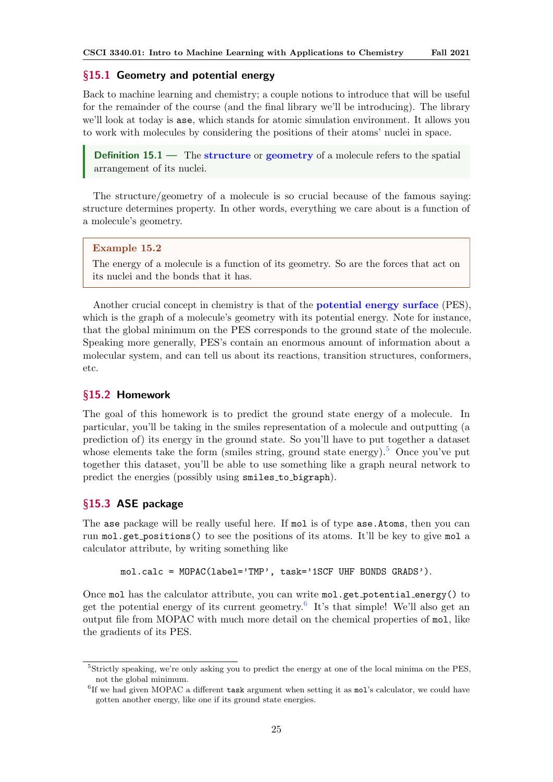# <span id="page-24-5"></span><span id="page-24-0"></span>§15.1 Geometry and potential energy

Back to machine learning and chemistry; a couple notions to introduce that will be useful for the remainder of the course (and the final library we'll be introducing). The library we'll look at today is ase, which stands for atomic simulation environment. It allows you to work with molecules by considering the positions of their atoms' nuclei in space.

**Definition 15.1** — The structure or geometry of a molecule refers to the spatial arrangement of its nuclei.

The structure/geometry of a molecule is so crucial because of the famous saying: structure determines property. In other words, everything we care about is a function of a molecule's geometry.

#### Example 15.2

The energy of a molecule is a function of its geometry. So are the forces that act on its nuclei and the bonds that it has.

Another crucial concept in chemistry is that of the potential energy surface (PES), which is the graph of a molecule's geometry with its potential energy. Note for instance, that the global minimum on the PES corresponds to the ground state of the molecule. Speaking more generally, PES's contain an enormous amount of information about a molecular system, and can tell us about its reactions, transition structures, conformers, etc.

# <span id="page-24-1"></span>§15.2 Homework

The goal of this homework is to predict the ground state energy of a molecule. In particular, you'll be taking in the smiles representation of a molecule and outputting (a prediction of) its energy in the ground state. So you'll have to put together a dataset whose elements take the form (smiles string, ground state energy).<sup>[5](#page-24-3)</sup> Once you've put together this dataset, you'll be able to use something like a graph neural network to predict the energies (possibly using smiles to bigraph).

# <span id="page-24-2"></span>§15.3 ASE package

The ase package will be really useful here. If mol is of type ase.Atoms, then you can run mol.get positions() to see the positions of its atoms. It'll be key to give mol a calculator attribute, by writing something like

```
mol.calc = MOPAC(label='TMP', task='1SCF UHF BONDS GRADS').
```
Once mol has the calculator attribute, you can write mol.get potential energy() to get the potential energy of its current geometry.<sup>[6](#page-24-4)</sup> It's that simple! We'll also get an output file from MOPAC with much more detail on the chemical properties of mol, like the gradients of its PES.

<span id="page-24-3"></span><sup>&</sup>lt;sup>5</sup>Strictly speaking, we're only asking you to predict the energy at one of the local minima on the PES, not the global minimum.

<span id="page-24-4"></span> ${}^{6}$ If we had given MOPAC a different task argument when setting it as mol's calculator, we could have gotten another energy, like one if its ground state energies.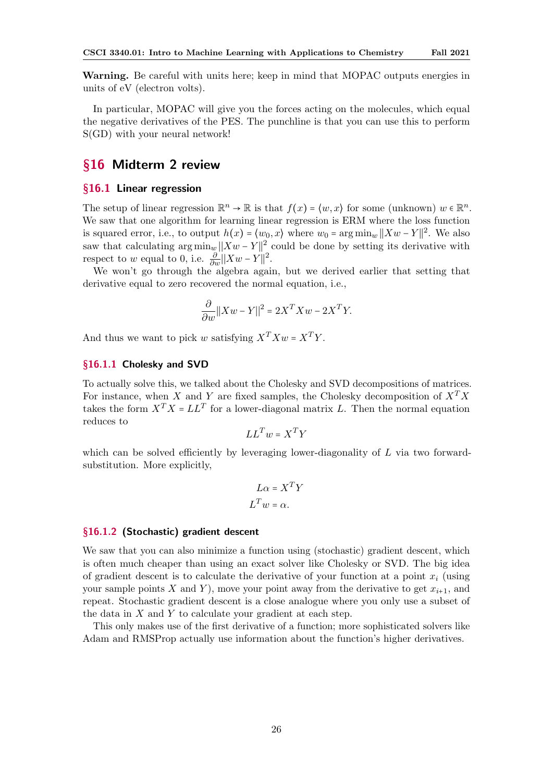Warning. Be careful with units here; keep in mind that MOPAC outputs energies in units of eV (electron volts).

In particular, MOPAC will give you the forces acting on the molecules, which equal the negative derivatives of the PES. The punchline is that you can use this to perform S(GD) with your neural network!

# <span id="page-25-0"></span>§16 Midterm 2 review

# <span id="page-25-1"></span>§16.1 Linear regression

The setup of linear regression  $\mathbb{R}^n \to \mathbb{R}$  is that  $f(x) = \langle w, x \rangle$  for some (unknown)  $w \in \mathbb{R}^n$ . We saw that one algorithm for learning linear regression is ERM where the loss function is squared error, i.e., to output  $h(x) = \langle w_0, x \rangle$  where  $w_0 = \arg \min_w ||Xw - Y||^2$ . We also saw that calculating  $\arg \min_w ||Xw - Y||^2$  could be done by setting its derivative with respect to w equal to 0, i.e.  $\frac{\partial}{\partial w} ||Xw - Y||^2$ .

We won't go through the algebra again, but we derived earlier that setting that derivative equal to zero recovered the normal equation, i.e.,

$$
\frac{\partial}{\partial w} ||Xw - Y||^2 = 2X^T X w - 2X^T Y.
$$

And thus we want to pick w satisfying  $X^T X w = X^T Y$ .

### <span id="page-25-2"></span>§16.1.1 Cholesky and SVD

To actually solve this, we talked about the Cholesky and SVD decompositions of matrices. For instance, when X and Y are fixed samples, the Cholesky decomposition of  $X^T X$ takes the form  $X^T X = LL^T$  for a lower-diagonal matrix L. Then the normal equation reduces to

$$
LL^T w = X^T Y
$$

which can be solved efficiently by leveraging lower-diagonality of L via two forwardsubstitution. More explicitly,

$$
L\alpha = X^T Y
$$

$$
L^T w = \alpha.
$$

#### <span id="page-25-3"></span>§16.1.2 (Stochastic) gradient descent

We saw that you can also minimize a function using (stochastic) gradient descent, which is often much cheaper than using an exact solver like Cholesky or SVD. The big idea of gradient descent is to calculate the derivative of your function at a point  $x_i$  (using your sample points X and Y), move your point away from the derivative to get  $x_{i+1}$ , and repeat. Stochastic gradient descent is a close analogue where you only use a subset of the data in  $X$  and  $Y$  to calculate your gradient at each step.

This only makes use of the first derivative of a function; more sophisticated solvers like Adam and RMSProp actually use information about the function's higher derivatives.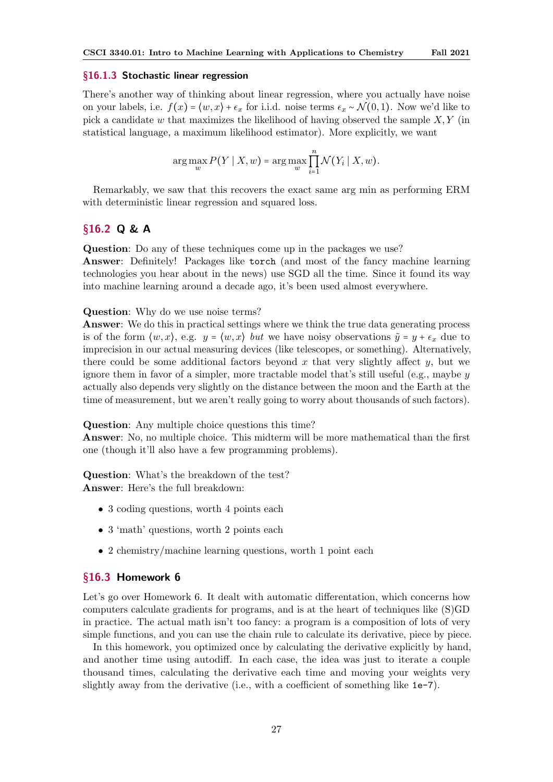#### <span id="page-26-0"></span>§16.1.3 Stochastic linear regression

There's another way of thinking about linear regression, where you actually have noise on your labels, i.e.  $f(x) = \langle w, x \rangle + \epsilon_x$  for i.i.d. noise terms  $\epsilon_x \sim \mathcal{N}(0, 1)$ . Now we'd like to pick a candidate w that maximizes the likelihood of having observed the sample  $X, Y$  (in statistical language, a maximum likelihood estimator). More explicitly, we want

$$
\arg\max_{w} P(Y \mid X, w) = \arg\max_{w} \prod_{i=1}^{n} \mathcal{N}(Y_i \mid X, w).
$$

Remarkably, we saw that this recovers the exact same arg min as performing ERM with deterministic linear regression and squared loss.

# <span id="page-26-1"></span>§16.2 Q & A

Question: Do any of these techniques come up in the packages we use? Answer: Definitely! Packages like torch (and most of the fancy machine learning technologies you hear about in the news) use SGD all the time. Since it found its way into machine learning around a decade ago, it's been used almost everywhere.

#### Question: Why do we use noise terms?

Answer: We do this in practical settings where we think the true data generating process is of the form  $\langle w, x \rangle$ , e.g.  $y = \langle w, x \rangle$  but we have noisy observations  $\tilde{y} = y + \epsilon_x$  due to imprecision in our actual measuring devices (like telescopes, or something). Alternatively, there could be some additional factors beyond x that very slightly affect  $y$ , but we ignore them in favor of a simpler, more tractable model that's still useful (e.g., maybe  $y$ actually also depends very slightly on the distance between the moon and the Earth at the time of measurement, but we aren't really going to worry about thousands of such factors).

Question: Any multiple choice questions this time?

Answer: No, no multiple choice. This midterm will be more mathematical than the first one (though it'll also have a few programming problems).

Question: What's the breakdown of the test? Answer: Here's the full breakdown:

- 3 coding questions, worth 4 points each
- 3 'math' questions, worth 2 points each
- 2 chemistry/machine learning questions, worth 1 point each

# <span id="page-26-2"></span>§16.3 Homework 6

Let's go over Homework 6. It dealt with automatic differentation, which concerns how computers calculate gradients for programs, and is at the heart of techniques like (S)GD in practice. The actual math isn't too fancy: a program is a composition of lots of very simple functions, and you can use the chain rule to calculate its derivative, piece by piece.

In this homework, you optimized once by calculating the derivative explicitly by hand, and another time using autodiff. In each case, the idea was just to iterate a couple thousand times, calculating the derivative each time and moving your weights very slightly away from the derivative (i.e., with a coefficient of something like 1e-7).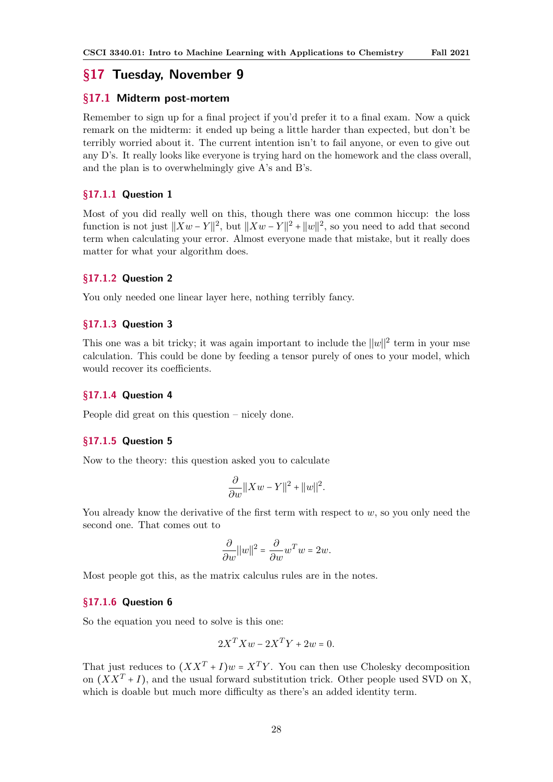# <span id="page-27-0"></span>§17 Tuesday, November 9

# <span id="page-27-1"></span>§17.1 Midterm post-mortem

Remember to sign up for a final project if you'd prefer it to a final exam. Now a quick remark on the midterm: it ended up being a little harder than expected, but don't be terribly worried about it. The current intention isn't to fail anyone, or even to give out any D's. It really looks like everyone is trying hard on the homework and the class overall, and the plan is to overwhelmingly give A's and B's.

#### <span id="page-27-2"></span>§17.1.1 Question 1

Most of you did really well on this, though there was one common hiccup: the loss function is not just  $||Xw - Y||^2$ , but  $||Xw - Y||^2 + ||w||^2$ , so you need to add that second term when calculating your error. Almost everyone made that mistake, but it really does matter for what your algorithm does.

# <span id="page-27-3"></span>§17.1.2 Question 2

You only needed one linear layer here, nothing terribly fancy.

# <span id="page-27-4"></span>§17.1.3 Question 3

This one was a bit tricky; it was again important to include the  $||w||^2$  term in your mse calculation. This could be done by feeding a tensor purely of ones to your model, which would recover its coefficients.

# <span id="page-27-5"></span>§17.1.4 Question 4

People did great on this question – nicely done.

### <span id="page-27-6"></span>§17.1.5 Question 5

Now to the theory: this question asked you to calculate

$$
\frac{\partial}{\partial w}||Xw - Y||^2 + ||w||^2.
$$

You already know the derivative of the first term with respect to  $w$ , so you only need the second one. That comes out to

$$
\frac{\partial}{\partial w}||w||^2 = \frac{\partial}{\partial w}w^T w = 2w.
$$

Most people got this, as the matrix calculus rules are in the notes.

### <span id="page-27-7"></span>§17.1.6 Question 6

So the equation you need to solve is this one:

$$
2X^T X w - 2X^T Y + 2w = 0.
$$

That just reduces to  $(XX^T + I)w = X^TY$ . You can then use Cholesky decomposition on  $(XX^T + I)$ , and the usual forward substitution trick. Other people used SVD on X, which is doable but much more difficulty as there's an added identity term.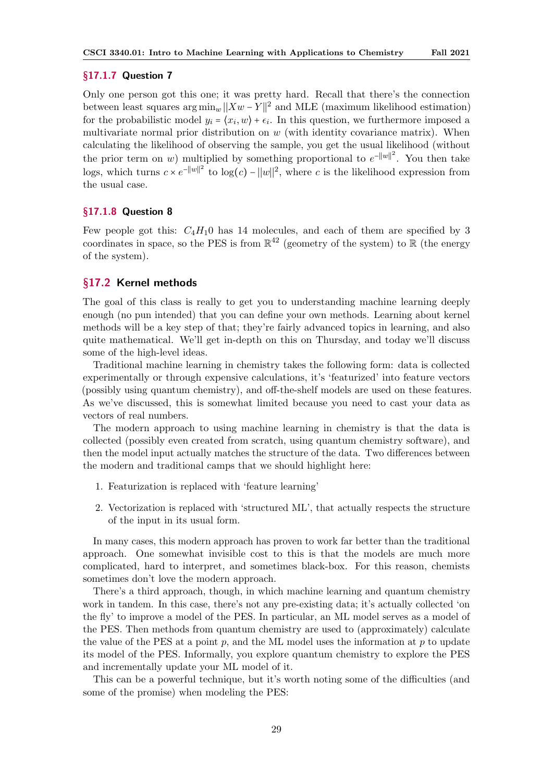### <span id="page-28-0"></span>§17.1.7 Question 7

Only one person got this one; it was pretty hard. Recall that there's the connection between least squares  $\arg \min_w ||Xw - Y||^2$  and MLE (maximum likelihood estimation) for the probabilistic model  $y_i = \langle x_i, w \rangle + \epsilon_i$ . In this question, we furthermore imposed a multivariate normal prior distribution on  $w$  (with identity covariance matrix). When calculating the likelihood of observing the sample, you get the usual likelihood (without the prior term on w) multiplied by something proportional to  $e^{-||w||^2}$ . You then take logs, which turns  $c \times e^{-||w||^2}$  to  $\log(c) - ||w||^2$ , where c is the likelihood expression from the usual case.

# <span id="page-28-1"></span>§17.1.8 Question 8

Few people got this:  $C_4H_10$  has 14 molecules, and each of them are specified by 3 coordinates in space, so the PES is from  $\mathbb{R}^{42}$  (geometry of the system) to  $\mathbb R$  (the energy of the system).

# <span id="page-28-2"></span>§17.2 Kernel methods

The goal of this class is really to get you to understanding machine learning deeply enough (no pun intended) that you can define your own methods. Learning about kernel methods will be a key step of that; they're fairly advanced topics in learning, and also quite mathematical. We'll get in-depth on this on Thursday, and today we'll discuss some of the high-level ideas.

Traditional machine learning in chemistry takes the following form: data is collected experimentally or through expensive calculations, it's 'featurized' into feature vectors (possibly using quantum chemistry), and off-the-shelf models are used on these features. As we've discussed, this is somewhat limited because you need to cast your data as vectors of real numbers.

The modern approach to using machine learning in chemistry is that the data is collected (possibly even created from scratch, using quantum chemistry software), and then the model input actually matches the structure of the data. Two differences between the modern and traditional camps that we should highlight here:

- 1. Featurization is replaced with 'feature learning'
- 2. Vectorization is replaced with 'structured ML', that actually respects the structure of the input in its usual form.

In many cases, this modern approach has proven to work far better than the traditional approach. One somewhat invisible cost to this is that the models are much more complicated, hard to interpret, and sometimes black-box. For this reason, chemists sometimes don't love the modern approach.

There's a third approach, though, in which machine learning and quantum chemistry work in tandem. In this case, there's not any pre-existing data; it's actually collected 'on the fly' to improve a model of the PES. In particular, an ML model serves as a model of the PES. Then methods from quantum chemistry are used to (approximately) calculate the value of the PES at a point  $p$ , and the ML model uses the information at  $p$  to update its model of the PES. Informally, you explore quantum chemistry to explore the PES and incrementally update your ML model of it.

This can be a powerful technique, but it's worth noting some of the difficulties (and some of the promise) when modeling the PES: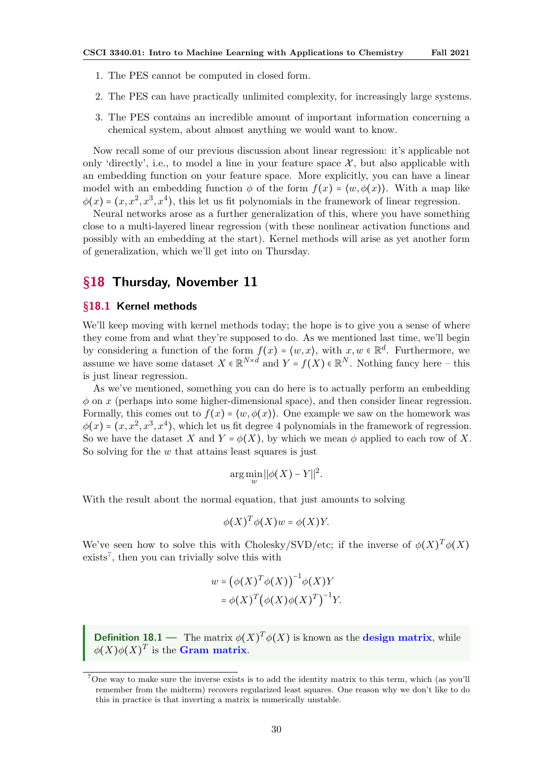- <span id="page-29-3"></span>1. The PES cannot be computed in closed form.
- 2. The PES can have practically unlimited complexity, for increasingly large systems.
- 3. The PES contains an incredible amount of important information concerning a chemical system, about almost anything we would want to know.

Now recall some of our previous discussion about linear regression: it's applicable not only 'directly', i.e., to model a line in your feature space  $\mathcal{X}$ , but also applicable with an embedding function on your feature space. More explicitly, you can have a linear model with an embedding function  $\phi$  of the form  $f(x) = \langle w, \phi(x) \rangle$ . With a map like  $\phi(x) = (x, x^2, x^3, x^4)$ , this let us fit polynomials in the framework of linear regression.

Neural networks arose as a further generalization of this, where you have something close to a multi-layered linear regression (with these nonlinear activation functions and possibly with an embedding at the start). Kernel methods will arise as yet another form of generalization, which we'll get into on Thursday.

# <span id="page-29-0"></span>§18 Thursday, November 11

### <span id="page-29-1"></span>§18.1 Kernel methods

We'll keep moving with kernel methods today; the hope is to give you a sense of where they come from and what they're supposed to do. As we mentioned last time, we'll begin by considering a function of the form  $f(x) = \langle w, x \rangle$ , with  $x, w \in \mathbb{R}^d$ . Furthermore, we assume we have some dataset  $X \in \mathbb{R}^{N \times d}$  and  $Y = f(X) \in \mathbb{R}^N$ . Nothing fancy here – this is just linear regression.

As we've mentioned, something you can do here is to actually perform an embedding  $\phi$  on x (perhaps into some higher-dimensional space), and then consider linear regression. Formally, this comes out to  $f(x) = \langle w, \phi(x) \rangle$ . One example we saw on the homework was  $\phi(x) = (x, x^2, x^3, x^4)$ , which let us fit degree 4 polynomials in the framework of regression. So we have the dataset X and  $Y = \phi(X)$ , by which we mean  $\phi$  applied to each row of X. So solving for the  $w$  that attains least squares is just

$$
\arg\min_{w} ||\phi(X) - Y||^2.
$$

With the result about the normal equation, that just amounts to solving

$$
\phi(X)^T \phi(X) w = \phi(X) Y.
$$

We've seen how to solve this with Cholesky/SVD/etc; if the inverse of  $\phi(X)^T \phi(X)$  $exists<sup>7</sup>$  $exists<sup>7</sup>$  $exists<sup>7</sup>$ , then you can trivially solve this with

$$
w = (\phi(X)^T \phi(X))^{-1} \phi(X) Y
$$
  
=  $\phi(X)^T (\phi(X) \phi(X)^T)^{-1} Y$ .

**Definition 18.1** — The matrix  $\phi(X)^T \phi(X)$  is known as the **design matrix**, while  $\phi(X) \phi(X)^T$  is the **Gram matrix**.

<span id="page-29-2"></span><sup>7</sup>One way to make sure the inverse exists is to add the identity matrix to this term, which (as you'll remember from the midterm) recovers regularized least squares. One reason why we don't like to do this in practice is that inverting a matrix is numerically unstable.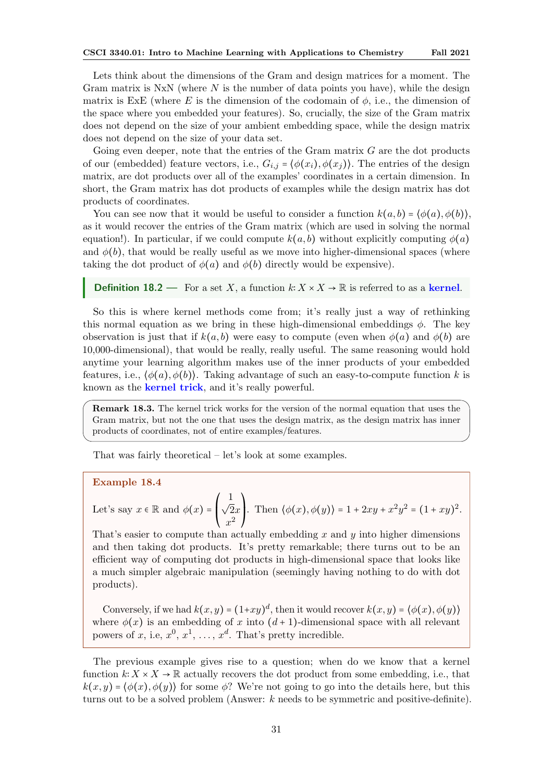<span id="page-30-0"></span>Lets think about the dimensions of the Gram and design matrices for a moment. The Gram matrix is  $NxN$  (where N is the number of data points you have), while the design matrix is ExE (where E is the dimension of the codomain of  $\phi$ , i.e., the dimension of the space where you embedded your features). So, crucially, the size of the Gram matrix does not depend on the size of your ambient embedding space, while the design matrix does not depend on the size of your data set.

Going even deeper, note that the entries of the Gram matrix  $G$  are the dot products of our (embedded) feature vectors, i.e.,  $G_{i,j} = \langle \phi(x_i), \phi(x_j) \rangle$ . The entries of the design matrix, are dot products over all of the examples' coordinates in a certain dimension. In short, the Gram matrix has dot products of examples while the design matrix has dot products of coordinates.

You can see now that it would be useful to consider a function  $k(a, b) = \langle \phi(a), \phi(b) \rangle$ , as it would recover the entries of the Gram matrix (which are used in solving the normal equation!). In particular, if we could compute  $k(a, b)$  without explicitly computing  $\phi(a)$ and  $\phi(b)$ , that would be really useful as we move into higher-dimensional spaces (where taking the dot product of  $\phi(a)$  and  $\phi(b)$  directly would be expensive).

#### **Definition 18.2** — For a set X, a function  $k: X \times X \to \mathbb{R}$  is referred to as a kernel.

So this is where kernel methods come from; it's really just a way of rethinking this normal equation as we bring in these high-dimensional embeddings  $\phi$ . The key observation is just that if  $k(a, b)$  were easy to compute (even when  $\phi(a)$  and  $\phi(b)$ ) are 10,000-dimensional), that would be really, really useful. The same reasoning would hold anytime your learning algorithm makes use of the inner products of your embedded features, i.e.,  $\langle \phi(a), \phi(b) \rangle$ . Taking advantage of such an easy-to-compute function k is known as the **kernel trick**, and it's really powerful.

Remark 18.3. The kernel trick works for the version of the normal equation that uses the Gram matrix, but not the one that uses the design matrix, as the design matrix has inner products of coordinates, not of entire examples/features.

That was fairly theoretical – let's look at some examples.

#### Example 18.4

Let's say  $x \in \mathbb{R}$  and  $\phi(x) = \begin{bmatrix} 1 \\ 1 \end{bmatrix}$  $\mathsf I$ ⎝  $\frac{1}{\sqrt{2}x}$  $x^2$  $\lambda$  $\mathbf{I}$ ⎠ . Then  $\langle \phi(x), \phi(y) \rangle = 1 + 2xy + x^2y^2 = (1 + xy)^2$ .

That's easier to compute than actually embedding x and  $\eta$  into higher dimensions and then taking dot products. It's pretty remarkable; there turns out to be an efficient way of computing dot products in high-dimensional space that looks like a much simpler algebraic manipulation (seemingly having nothing to do with dot products).

Conversely, if we had  $k(x, y) = (1+xy)^d$ , then it would recover  $k(x, y) = \langle \phi(x), \phi(y) \rangle$ where  $\phi(x)$  is an embedding of x into  $(d+1)$ -dimensional space with all relevant powers of x, i.e,  $x^0, x^1, \ldots, x^d$ . That's pretty incredible.

The previous example gives rise to a question; when do we know that a kernel function  $k: X \times X \to \mathbb{R}$  actually recovers the dot product from some embedding, i.e., that  $k(x, y) = \langle \phi(x), \phi(y) \rangle$  for some  $\phi$ ? We're not going to go into the details here, but this turns out to be a solved problem (Answer: k needs to be symmetric and positive-definite).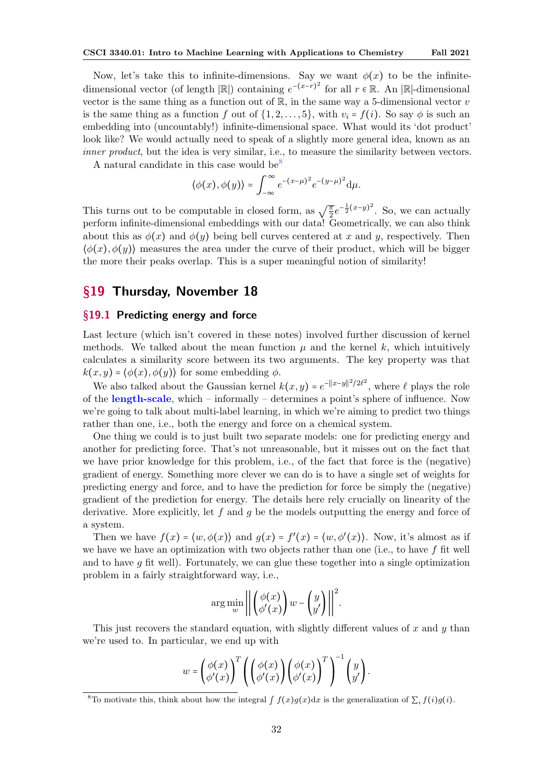<span id="page-31-3"></span>Now, let's take this to infinite-dimensions. Say we want  $\phi(x)$  to be the infinitedimensional vector (of length  $|\mathbb{R}|$ ) containing  $e^{-(x-r)^2}$  for all  $r \in \mathbb{R}$ . An  $|\mathbb{R}|$ -dimensional vector is the same thing as a function out of  $\mathbb{R}$ , in the same way a 5-dimensional vector v is the same thing as a function f out of  $\{1, 2, \ldots, 5\}$ , with  $v_i = f(i)$ . So say  $\phi$  is such an embedding into (uncountably!) infinite-dimensional space. What would its 'dot product' look like? We would actually need to speak of a slightly more general idea, known as an inner product, but the idea is very similar, i.e., to measure the similarity between vectors.

A natural candidate in this case would be<sup>[8](#page-31-2)</sup>

$$
\langle \phi(x), \phi(y) \rangle = \int_{-\infty}^{\infty} e^{-(x-\mu)^2} e^{-(y-\mu)^2} d\mu.
$$

This turns out to be computable in closed form, as  $\sqrt{\frac{\pi}{2}}e^{-\frac{1}{2}(x-y)^2}$ . So, we can actually perform infinite-dimensional embeddings with our data! Geometrically, we can also think about this as  $\phi(x)$  and  $\phi(y)$  being bell curves centered at x and y, respectively. Then  $\langle \phi(x), \phi(y) \rangle$  measures the area under the curve of their product, which will be bigger the more their peaks overlap. This is a super meaningful notion of similarity!

# <span id="page-31-0"></span>§19 Thursday, November 18

#### <span id="page-31-1"></span>§19.1 Predicting energy and force

Last lecture (which isn't covered in these notes) involved further discussion of kernel methods. We talked about the mean function  $\mu$  and the kernel k, which intuitively calculates a similarity score between its two arguments. The key property was that  $k(x, y) = \langle \phi(x), \phi(y) \rangle$  for some embedding  $\phi$ .

We also talked about the Gaussian kernel  $k(x, y) = e^{-\|x-y\|^2/2\ell^2}$ , where  $\ell$  plays the role of the length-scale, which – informally – determines a point's sphere of influence. Now we're going to talk about multi-label learning, in which we're aiming to predict two things rather than one, i.e., both the energy and force on a chemical system.

One thing we could is to just built two separate models: one for predicting energy and another for predicting force. That's not unreasonable, but it misses out on the fact that we have prior knowledge for this problem, i.e., of the fact that force is the (negative) gradient of energy. Something more clever we can do is to have a single set of weights for predicting energy and force, and to have the prediction for force be simply the (negative) gradient of the prediction for energy. The details here rely crucially on linearity of the derivative. More explicitly, let  $f$  and  $g$  be the models outputting the energy and force of a system.

Then we have  $f(x) = \langle w, \phi(x) \rangle$  and  $g(x) = f'(x) = \langle w, \phi'(x) \rangle$ . Now, it's almost as if we have we have an optimization with two objects rather than one (i.e., to have  $f$  fit well and to have  $q$  fit well). Fortunately, we can glue these together into a single optimization problem in a fairly straightforward way, i.e.,

$$
\arg\min_{w} \left| \left| \left( \begin{array}{c} \phi(x) \\ \phi'(x) \end{array} \right) w - \left( \begin{array}{c} y \\ y' \end{array} \right) \right| \right|^2.
$$

This just recovers the standard equation, with slightly different values of  $x$  and  $y$  than we're used to. In particular, we end up with

$$
w = \left(\begin{matrix} \phi(x) \\ \phi'(x) \end{matrix}\right)^T \left(\begin{pmatrix} \phi(x) \\ \phi'(x) \end{pmatrix} \left(\begin{matrix} \phi(x) \\ \phi'(x) \end{matrix}\right)^T \right)^{-1} \left(\begin{matrix} y \\ y' \end{matrix}\right).
$$

<span id="page-31-2"></span><sup>&</sup>lt;sup>8</sup>To motivate this, think about how the integral  $\int f(x)g(x)dx$  is the generalization of  $\sum_i f(i)g(i)$ .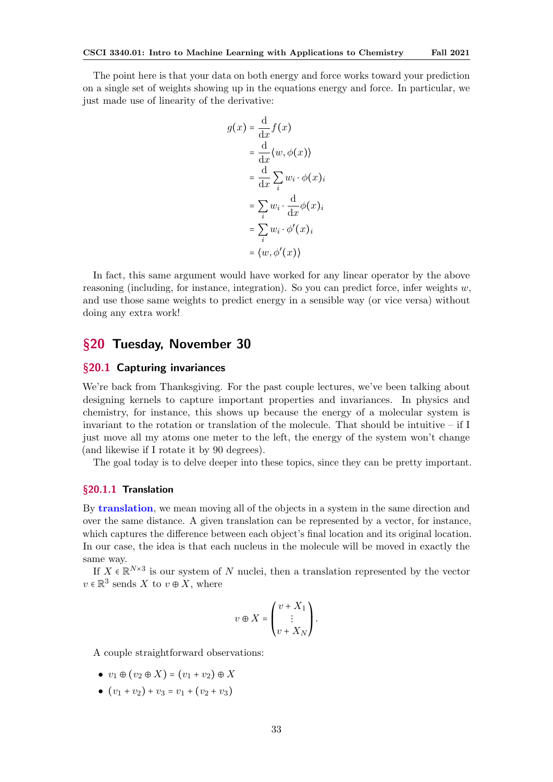<span id="page-32-3"></span>The point here is that your data on both energy and force works toward your prediction on a single set of weights showing up in the equations energy and force. In particular, we just made use of linearity of the derivative:

$$
g(x) = \frac{d}{dx} f(x)
$$
  
= 
$$
\frac{d}{dx} \langle w, \phi(x) \rangle
$$
  
= 
$$
\frac{d}{dx} \sum_{i} w_{i} \cdot \phi(x)_{i}
$$
  
= 
$$
\sum_{i} w_{i} \cdot \frac{d}{dx} \phi(x)_{i}
$$
  
= 
$$
\sum_{i} w_{i} \cdot \phi'(x)_{i}
$$
  
= 
$$
\langle w, \phi'(x) \rangle
$$

In fact, this same argument would have worked for any linear operator by the above reasoning (including, for instance, integration). So you can predict force, infer weights  $w$ , and use those same weights to predict energy in a sensible way (or vice versa) without doing any extra work!

# <span id="page-32-0"></span>§20 Tuesday, November 30

# <span id="page-32-1"></span>§20.1 Capturing invariances

We're back from Thanksgiving. For the past couple lectures, we've been talking about designing kernels to capture important properties and invariances. In physics and chemistry, for instance, this shows up because the energy of a molecular system is invariant to the rotation or translation of the molecule. That should be intuitive – if I just move all my atoms one meter to the left, the energy of the system won't change (and likewise if I rotate it by 90 degrees).

The goal today is to delve deeper into these topics, since they can be pretty important.

#### <span id="page-32-2"></span>§20.1.1 Translation

By translation, we mean moving all of the objects in a system in the same direction and over the same distance. A given translation can be represented by a vector, for instance, which captures the difference between each object's final location and its original location. In our case, the idea is that each nucleus in the molecule will be moved in exactly the same way.

If  $X \in \mathbb{R}^{N \times 3}$  is our system of N nuclei, then a translation represented by the vector  $v \in \mathbb{R}^3$  sends X to  $v \oplus X$ , where

$$
v\oplus X=\begin{pmatrix}v+X_1\\ \vdots\\ v+X_N\end{pmatrix}.
$$

A couple straightforward observations:

- $v_1 \oplus (v_2 \oplus X) = (v_1 + v_2) \oplus X$
- $(v_1 + v_2) + v_3 = v_1 + (v_2 + v_3)$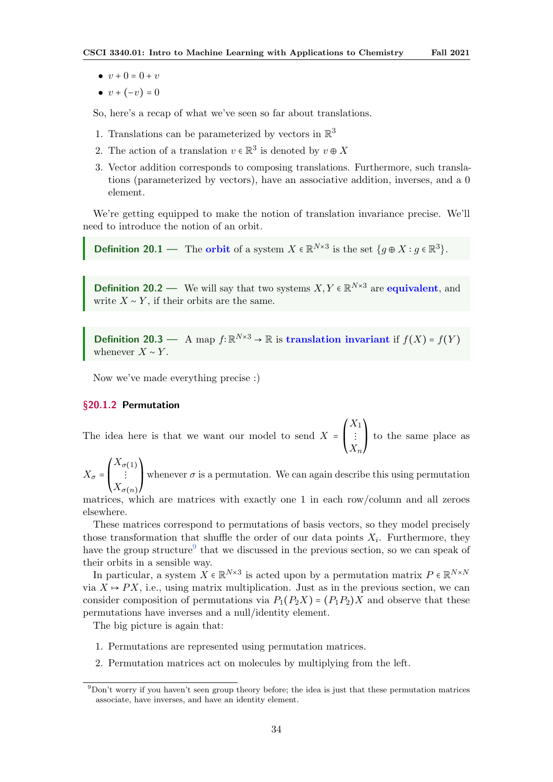- <span id="page-33-2"></span>•  $v + 0 = 0 + v$
- $v + (-v) = 0$

So, here's a recap of what we've seen so far about translations.

- 1. Translations can be parameterized by vectors in  $\mathbb{R}^3$
- 2. The action of a translation  $v \in \mathbb{R}^3$  is denoted by  $v \oplus X$
- 3. Vector addition corresponds to composing translations. Furthermore, such translations (parameterized by vectors), have an associative addition, inverses, and a 0 element.

We're getting equipped to make the notion of translation invariance precise. We'll need to introduce the notion of an orbit.

**Definition 20.1** — The **orbit** of a system  $X \in \mathbb{R}^{N \times 3}$  is the set  $\{g \oplus X : g \in \mathbb{R}^3\}$ .

**Definition 20.2** — We will say that two systems  $X, Y \in \mathbb{R}^{N \times 3}$  are **equivalent**, and write  $X \sim Y$ , if their orbits are the same.

**Definition 20.3** — A map  $f: \mathbb{R}^{N \times 3}$  →  $\mathbb{R}$  is translation invariant if  $f(X) = f(Y)$ whenever  $X \sim Y$ .

Now we've made everything precise :)

### <span id="page-33-0"></span>§20.1.2 Permutation

The idea here is that we want our model to send  $X =$  $\overline{I}$  $\mathsf I$ ⎝  $X_1$ ⋮  $X_n$  $\lambda$  $\frac{1}{2}$ ⎠ to the same place as

 $X_{\sigma}$  =  $\overline{I}$ ⎜ ⎝  $X_{\sigma(1)}$ ⋮  $X_{\sigma(n)}$  $\lambda$  $\mathbf l$ ⎠ whenever  $\sigma$  is a permutation. We can again describe this using permutation

matrices, which are matrices with exactly one 1 in each row/column and all zeroes elsewhere.

These matrices correspond to permutations of basis vectors, so they model precisely those transformation that shuffle the order of our data points  $X_i$ . Furthermore, they have the group structure<sup>[9](#page-33-1)</sup> that we discussed in the previous section, so we can speak of their orbits in a sensible way.

In particular, a system  $X \in \mathbb{R}^{N \times 3}$  is acted upon by a permutation matrix  $P \in \mathbb{R}^{N \times N}$ via  $X \mapsto PX$ , i.e., using matrix multiplication. Just as in the previous section, we can consider composition of permutations via  $P_1(P_2X) = (P_1P_2)X$  and observe that these permutations have inverses and a null/identity element.

The big picture is again that:

- 1. Permutations are represented using permutation matrices.
- 2. Permutation matrices act on molecules by multiplying from the left.

<span id="page-33-1"></span><sup>9</sup>Don't worry if you haven't seen group theory before; the idea is just that these permutation matrices associate, have inverses, and have an identity element.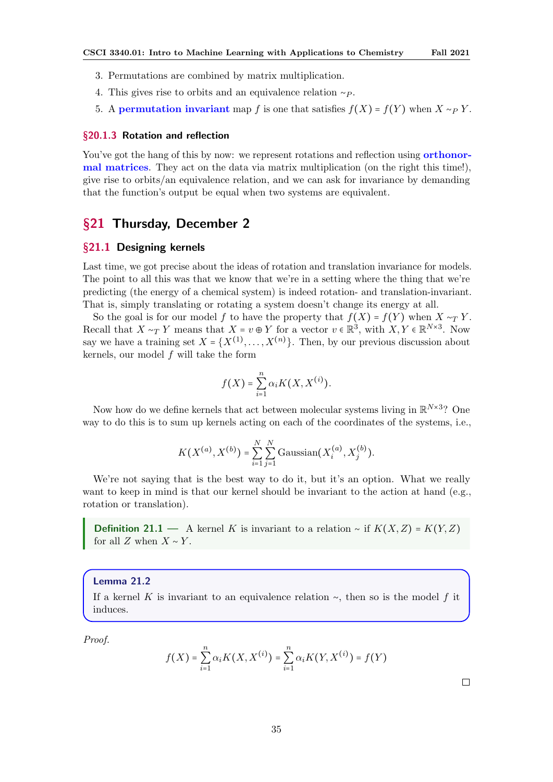- <span id="page-34-3"></span>3. Permutations are combined by matrix multiplication.
- 4. This gives rise to orbits and an equivalence relation  $~\sim P$ .
- 5. A permutation invariant map f is one that satisfies  $f(X) = f(Y)$  when  $X \sim_P Y$ .

#### <span id="page-34-0"></span>§20.1.3 Rotation and reflection

You've got the hang of this by now: we represent rotations and reflection using **orthonor**mal matrices. They act on the data via matrix multiplication (on the right this time!), give rise to orbits/an equivalence relation, and we can ask for invariance by demanding that the function's output be equal when two systems are equivalent.

# <span id="page-34-1"></span>§21 Thursday, December 2

#### <span id="page-34-2"></span>§21.1 Designing kernels

Last time, we got precise about the ideas of rotation and translation invariance for models. The point to all this was that we know that we're in a setting where the thing that we're predicting (the energy of a chemical system) is indeed rotation- and translation-invariant. That is, simply translating or rotating a system doesn't change its energy at all.

So the goal is for our model f to have the property that  $f(X) = f(Y)$  when  $X \sim_T Y$ . Recall that  $X \sim_T Y$  means that  $X = v \oplus Y$  for a vector  $v \in \mathbb{R}^3$ , with  $X, Y \in \mathbb{R}^{N \times 3}$ . Now say we have a training set  $X = \{X^{(1)}, \ldots, X^{(n)}\}$ . Then, by our previous discussion about kernels, our model f will take the form

$$
f(X) = \sum_{i=1}^{n} \alpha_i K(X, X^{(i)}).
$$

Now how do we define kernels that act between molecular systems living in  $\mathbb{R}^{N\times 3}$ ? One way to do this is to sum up kernels acting on each of the coordinates of the systems, i.e.,

$$
K(X^{(a)}, X^{(b)}) = \sum_{i=1}^{N} \sum_{j=1}^{N} \text{Gaussian}(X_i^{(a)}, X_j^{(b)}).
$$

We're not saying that is the best way to do it, but it's an option. What we really want to keep in mind is that our kernel should be invariant to the action at hand (e.g., rotation or translation).

**Definition 21.1** — A kernel K is invariant to a relation ∼ if  $K(X, Z) = K(Y, Z)$ for all Z when  $X \sim Y$ .

#### Lemma 21.2

If a kernel K is invariant to an equivalence relation  $\sim$ , then so is the model f it induces.

Proof.

$$
f(X) = \sum_{i=1}^{n} \alpha_i K(X, X^{(i)}) = \sum_{i=1}^{n} \alpha_i K(Y, X^{(i)}) = f(Y)
$$

 $\Box$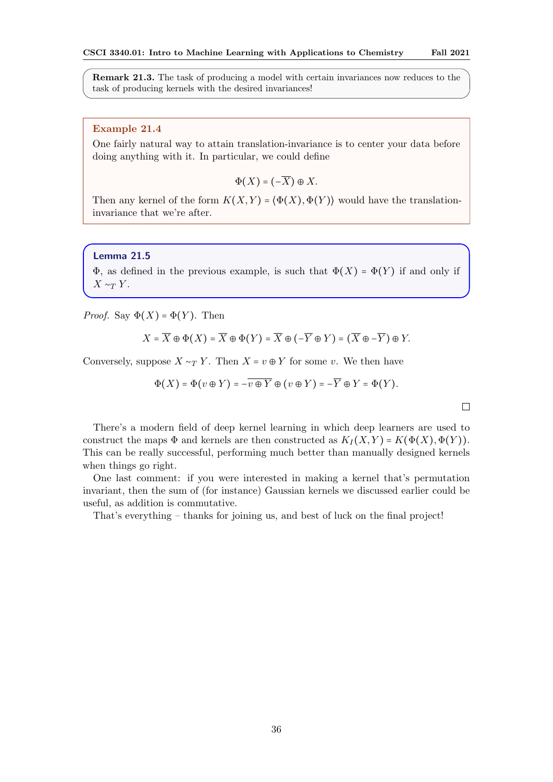Remark 21.3. The task of producing a model with certain invariances now reduces to the task of producing kernels with the desired invariances!

### Example 21.4

One fairly natural way to attain translation-invariance is to center your data before doing anything with it. In particular, we could define

$$
\Phi(X) = (-\overline{X}) \oplus X.
$$

Then any kernel of the form  $K(X, Y) = \langle \Phi(X), \Phi(Y) \rangle$  would have the translationinvariance that we're after.

### Lemma 21.5

 $\Phi$ , as defined in the previous example, is such that  $\Phi(X) = \Phi(Y)$  if and only if  $X \sim_T Y$ .

*Proof.* Say  $\Phi(X) = \Phi(Y)$ . Then

$$
X = \overline{X} \oplus \Phi(X) = \overline{X} \oplus \Phi(Y) = \overline{X} \oplus (-\overline{Y} \oplus Y) = (\overline{X} \oplus -\overline{Y}) \oplus Y.
$$

Conversely, suppose  $X \sim_T Y$ . Then  $X = v \oplus Y$  for some v. We then have

$$
\Phi(X) = \Phi(v \oplus Y) = -\overline{v \oplus Y} \oplus (v \oplus Y) = -\overline{Y} \oplus Y = \Phi(Y).
$$

 $\Box$ 

There's a modern field of deep kernel learning in which deep learners are used to construct the maps  $\Phi$  and kernels are then constructed as  $K_I(X, Y) = K(\Phi(X), \Phi(Y)).$ This can be really successful, performing much better than manually designed kernels when things go right.

One last comment: if you were interested in making a kernel that's permutation invariant, then the sum of (for instance) Gaussian kernels we discussed earlier could be useful, as addition is commutative.

That's everything – thanks for joining us, and best of luck on the final project!